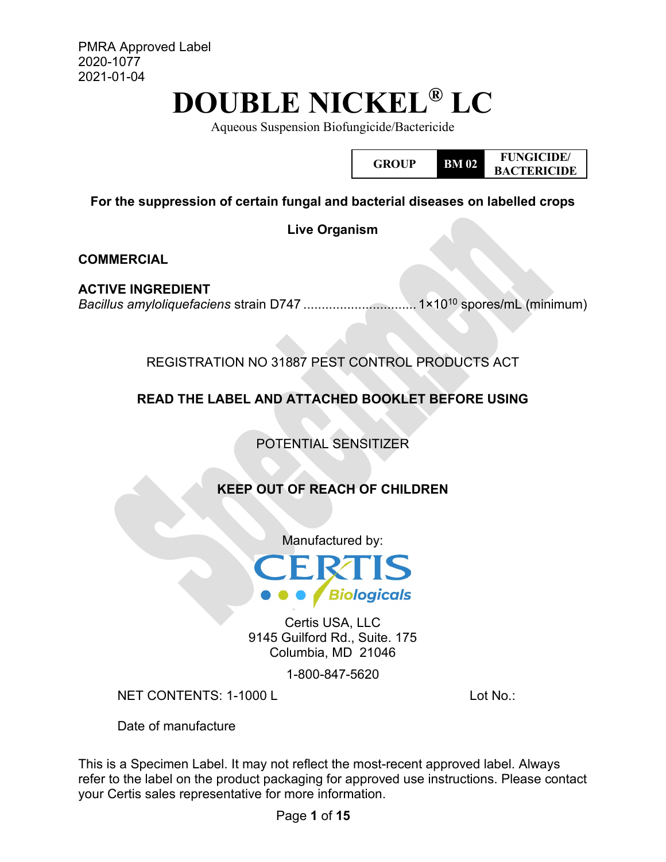PMRA Approved Label 2020-1077 2021-01-04

# **DOUBLE NICKEL® LC**

Aqueous Suspension Biofungicide/Bactericide

**GROUP BM 02 FUNGICIDE/ BACTERICIDE**

**For the suppression of certain fungal and bacterial diseases on labelled crops**

**Live Organism**

**COMMERCIAL**

**ACTIVE INGREDIENT** *Bacillus amyloliquefaciens* strain D747 ............................... 1×1010 spores/mL (minimum)

REGISTRATION NO 31887 PEST CONTROL PRODUCTS ACT

**READ THE LABEL AND ATTACHED BOOKLET BEFORE USING**

POTENTIAL SENSITIZER

## **KEEP OUT OF REACH OF CHILDREN**

Manufactured by:



Certis USA, LLC 9145 Guilford Rd., Suite. 175 Columbia, MD 21046

1-800-847-5620

NET CONTENTS: 1-1000 L Lot No.:

Date of manufacture

This is a Specimen Label. It may not reflect the most-recent approved label. Always refer to the label on the product packaging for approved use instructions. Please contact your Certis sales representative for more information.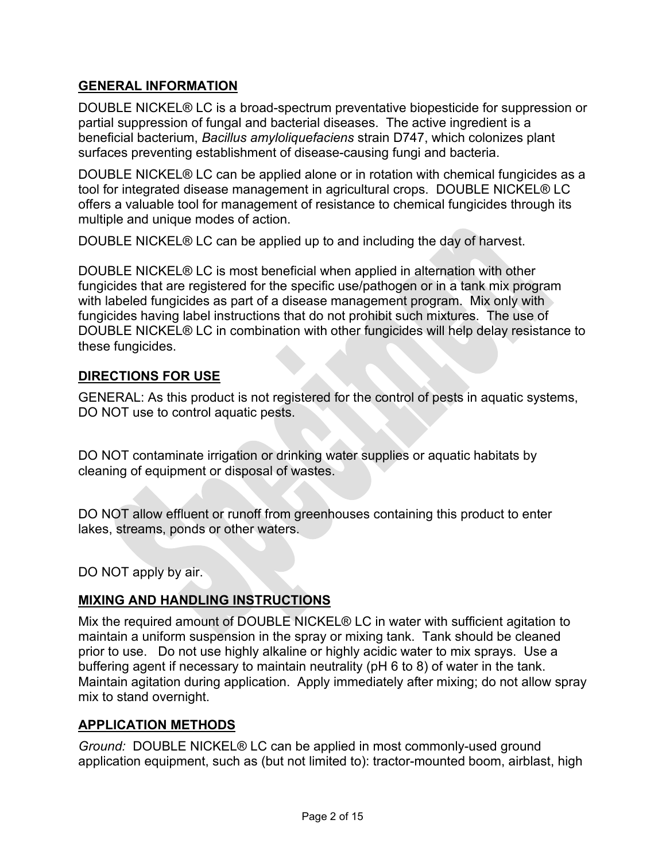## **GENERAL INFORMATION**

DOUBLE NICKEL® LC is a broad-spectrum preventative biopesticide for suppression or partial suppression of fungal and bacterial diseases. The active ingredient is a beneficial bacterium, *Bacillus amyloliquefaciens* strain D747, which colonizes plant surfaces preventing establishment of disease-causing fungi and bacteria.

DOUBLE NICKEL® LC can be applied alone or in rotation with chemical fungicides as a tool for integrated disease management in agricultural crops. DOUBLE NICKEL® LC offers a valuable tool for management of resistance to chemical fungicides through its multiple and unique modes of action.

DOUBLE NICKEL® LC can be applied up to and including the day of harvest.

DOUBLE NICKEL® LC is most beneficial when applied in alternation with other fungicides that are registered for the specific use/pathogen or in a tank mix program with labeled fungicides as part of a disease management program. Mix only with fungicides having label instructions that do not prohibit such mixtures. The use of DOUBLE NICKEL® LC in combination with other fungicides will help delay resistance to these fungicides.

## **DIRECTIONS FOR USE**

GENERAL: As this product is not registered for the control of pests in aquatic systems, DO NOT use to control aquatic pests.

DO NOT contaminate irrigation or drinking water supplies or aquatic habitats by cleaning of equipment or disposal of wastes.

DO NOT allow effluent or runoff from greenhouses containing this product to enter lakes, streams, ponds or other waters.

DO NOT apply by air.

## **MIXING AND HANDLING INSTRUCTIONS**

Mix the required amount of DOUBLE NICKEL® LC in water with sufficient agitation to maintain a uniform suspension in the spray or mixing tank. Tank should be cleaned prior to use. Do not use highly alkaline or highly acidic water to mix sprays. Use a buffering agent if necessary to maintain neutrality (pH 6 to 8) of water in the tank. Maintain agitation during application. Apply immediately after mixing; do not allow spray mix to stand overnight.

#### **APPLICATION METHODS**

*Ground:* DOUBLE NICKEL® LC can be applied in most commonly-used ground application equipment, such as (but not limited to): tractor-mounted boom, airblast, high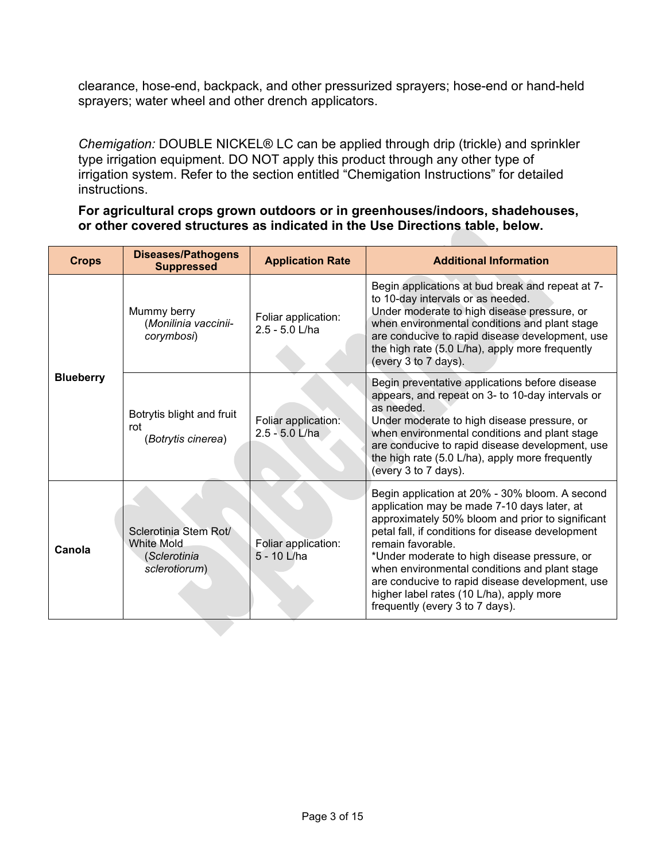clearance, hose-end, backpack, and other pressurized sprayers; hose-end or hand-held sprayers; water wheel and other drench applicators.

*Chemigation:* DOUBLE NICKEL® LC can be applied through drip (trickle) and sprinkler type irrigation equipment. DO NOT apply this product through any other type of irrigation system. Refer to the section entitled "Chemigation Instructions" for detailed instructions.

#### **For agricultural crops grown outdoors or in greenhouses/indoors, shadehouses, or other covered structures as indicated in the Use Directions table, below.**

| <b>Crops</b>     | <b>Diseases/Pathogens</b><br><b>Suppressed</b>                              | <b>Application Rate</b>               | <b>Additional Information</b>                                                                                                                                                                                                                                                                                                                                                                                                                                  |
|------------------|-----------------------------------------------------------------------------|---------------------------------------|----------------------------------------------------------------------------------------------------------------------------------------------------------------------------------------------------------------------------------------------------------------------------------------------------------------------------------------------------------------------------------------------------------------------------------------------------------------|
|                  | Mummy berry<br>(Monilinia vaccinii-<br>corymbosi)                           | Foliar application:<br>2.5 - 5.0 L/ha | Begin applications at bud break and repeat at 7-<br>to 10-day intervals or as needed.<br>Under moderate to high disease pressure, or<br>when environmental conditions and plant stage<br>are conducive to rapid disease development, use<br>the high rate (5.0 L/ha), apply more frequently<br>(every 3 to 7 days).                                                                                                                                            |
| <b>Blueberry</b> | Botrytis blight and fruit<br>rot<br>(Botrytis cinerea)                      | Foliar application:<br>2.5 - 5.0 L/ha | Begin preventative applications before disease<br>appears, and repeat on 3- to 10-day intervals or<br>as needed.<br>Under moderate to high disease pressure, or<br>when environmental conditions and plant stage<br>are conducive to rapid disease development, use<br>the high rate (5.0 L/ha), apply more frequently<br>(every 3 to 7 days).                                                                                                                 |
| Canola           | Sclerotinia Stem Rot/<br><b>White Mold</b><br>(Sclerotinia<br>sclerotiorum) | Foliar application:<br>5 - 10 L/ha    | Begin application at 20% - 30% bloom. A second<br>application may be made 7-10 days later, at<br>approximately 50% bloom and prior to significant<br>petal fall, if conditions for disease development<br>remain favorable.<br>*Under moderate to high disease pressure, or<br>when environmental conditions and plant stage<br>are conducive to rapid disease development, use<br>higher label rates (10 L/ha), apply more<br>frequently (every 3 to 7 days). |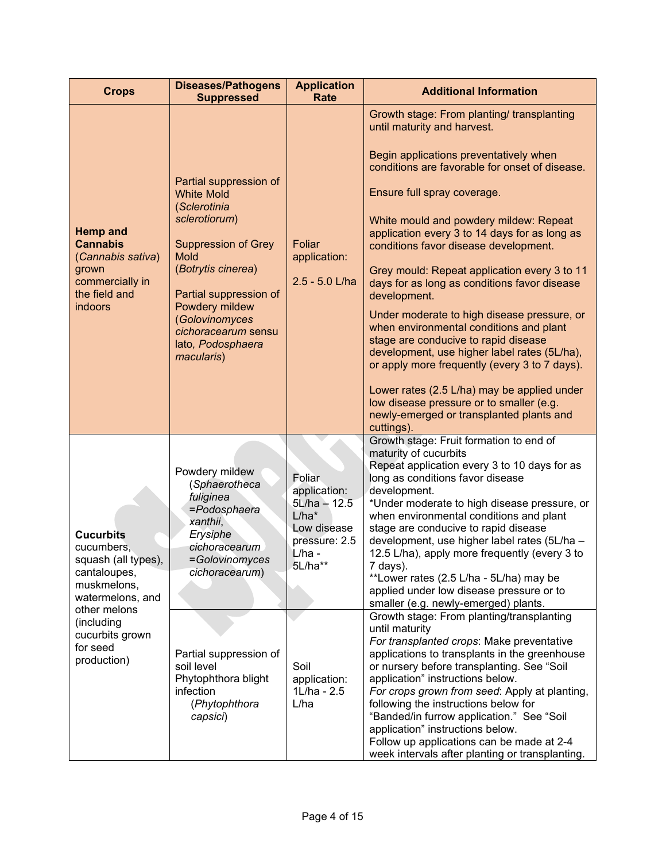| <b>Crops</b>                                                                                                                                                                         | <b>Diseases/Pathogens</b><br><b>Suppressed</b>                                                                                                                                                                                                                          | <b>Application</b><br><b>Rate</b>                                                                                                                              | <b>Additional Information</b>                                                                                                                                                                                                                                                                                                                                                                                                                                                                                                                                                                                                                                                                                                                                                                                                                                                                                                                                                                                                                                                |
|--------------------------------------------------------------------------------------------------------------------------------------------------------------------------------------|-------------------------------------------------------------------------------------------------------------------------------------------------------------------------------------------------------------------------------------------------------------------------|----------------------------------------------------------------------------------------------------------------------------------------------------------------|------------------------------------------------------------------------------------------------------------------------------------------------------------------------------------------------------------------------------------------------------------------------------------------------------------------------------------------------------------------------------------------------------------------------------------------------------------------------------------------------------------------------------------------------------------------------------------------------------------------------------------------------------------------------------------------------------------------------------------------------------------------------------------------------------------------------------------------------------------------------------------------------------------------------------------------------------------------------------------------------------------------------------------------------------------------------------|
|                                                                                                                                                                                      |                                                                                                                                                                                                                                                                         |                                                                                                                                                                | Growth stage: From planting/ transplanting<br>until maturity and harvest.                                                                                                                                                                                                                                                                                                                                                                                                                                                                                                                                                                                                                                                                                                                                                                                                                                                                                                                                                                                                    |
| <b>Hemp and</b><br><b>Cannabis</b><br>(Cannabis sativa)<br>grown<br>commercially in<br>the field and<br>indoors                                                                      | Partial suppression of<br><b>White Mold</b><br>(Sclerotinia<br>sclerotiorum)<br><b>Suppression of Grey</b><br><b>Mold</b><br>(Botrytis cinerea)<br>Partial suppression of<br>Powdery mildew<br>(Golovinomyces<br>cichoracearum sensu<br>lato, Podosphaera<br>macularis) | Foliar<br>application:<br>2.5 - 5.0 L/ha                                                                                                                       | Begin applications preventatively when<br>conditions are favorable for onset of disease.<br>Ensure full spray coverage.<br>White mould and powdery mildew: Repeat<br>application every 3 to 14 days for as long as<br>conditions favor disease development.<br>Grey mould: Repeat application every 3 to 11<br>days for as long as conditions favor disease<br>development.<br>Under moderate to high disease pressure, or<br>when environmental conditions and plant<br>stage are conducive to rapid disease<br>development, use higher label rates (5L/ha),<br>or apply more frequently (every 3 to 7 days).<br>Lower rates (2.5 L/ha) may be applied under<br>low disease pressure or to smaller (e.g.<br>newly-emerged or transplanted plants and<br>cuttings).                                                                                                                                                                                                                                                                                                          |
| <b>Cucurbits</b><br>cucumbers,<br>squash (all types),<br>cantaloupes,<br>muskmelons,<br>watermelons, and<br>other melons<br>(including<br>cucurbits grown<br>for seed<br>production) | Powdery mildew<br>(Sphaerotheca<br>fuliginea<br>=Podosphaera<br>xanthii,<br>Erysiphe<br>cichoracearum<br>=Golovinomyces<br>cichoracearum)<br>Partial suppression of<br>soil level<br>Phytophthora blight<br>infection<br>(Phytophthora<br>capsici)                      | <b>Foliar</b><br>application:<br>5L/ha - 12.5<br>$L/ha*$<br>Low disease<br>pressure: 2.5<br>$L/ha -$<br>5L/ha**<br>Soil<br>application:<br>1L/ha - 2.5<br>L/ha | Growth stage: Fruit formation to end of<br>maturity of cucurbits<br>Repeat application every 3 to 10 days for as<br>long as conditions favor disease<br>development.<br>*Under moderate to high disease pressure, or<br>when environmental conditions and plant<br>stage are conducive to rapid disease<br>development, use higher label rates (5L/ha -<br>12.5 L/ha), apply more frequently (every 3 to<br>7 days).<br>**Lower rates (2.5 L/ha - 5L/ha) may be<br>applied under low disease pressure or to<br>smaller (e.g. newly-emerged) plants.<br>Growth stage: From planting/transplanting<br>until maturity<br>For transplanted crops: Make preventative<br>applications to transplants in the greenhouse<br>or nursery before transplanting. See "Soil<br>application" instructions below.<br>For crops grown from seed: Apply at planting,<br>following the instructions below for<br>"Banded/in furrow application." See "Soil<br>application" instructions below.<br>Follow up applications can be made at 2-4<br>week intervals after planting or transplanting. |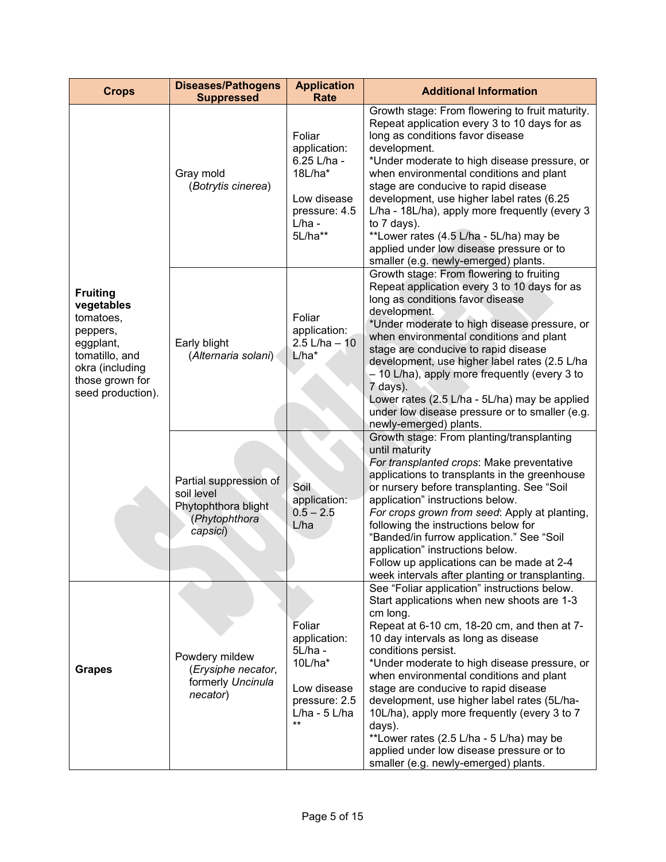| <b>Crops</b>                                                                                                                                     | <b>Diseases/Pathogens</b><br><b>Suppressed</b>                                           | <b>Application</b><br><b>Rate</b>                                                                          | <b>Additional Information</b>                                                                                                                                                                                                                                                                                                                                                                                                                                                                                                                                                                   |
|--------------------------------------------------------------------------------------------------------------------------------------------------|------------------------------------------------------------------------------------------|------------------------------------------------------------------------------------------------------------|-------------------------------------------------------------------------------------------------------------------------------------------------------------------------------------------------------------------------------------------------------------------------------------------------------------------------------------------------------------------------------------------------------------------------------------------------------------------------------------------------------------------------------------------------------------------------------------------------|
| <b>Fruiting</b><br>vegetables<br>tomatoes,<br>peppers,<br>eggplant,<br>tomatillo, and<br>okra (including<br>those grown for<br>seed production). | Gray mold<br>(Botrytis cinerea)                                                          | Foliar<br>application:<br>6.25 L/ha -<br>18L/ha*<br>Low disease<br>pressure: 4.5<br>$L/ha -$<br>5L/ha**    | Growth stage: From flowering to fruit maturity.<br>Repeat application every 3 to 10 days for as<br>long as conditions favor disease<br>development.<br>*Under moderate to high disease pressure, or<br>when environmental conditions and plant<br>stage are conducive to rapid disease<br>development, use higher label rates (6.25<br>L/ha - 18L/ha), apply more frequently (every 3<br>to 7 days).<br>**Lower rates (4.5 L/ha - 5L/ha) may be<br>applied under low disease pressure or to<br>smaller (e.g. newly-emerged) plants.                                                             |
|                                                                                                                                                  | Early blight<br>(Alternaria solani)                                                      | Foliar<br>application:<br>$2.5$ L/ha $-10$<br>L/ha*                                                        | Growth stage: From flowering to fruiting<br>Repeat application every 3 to 10 days for as<br>long as conditions favor disease<br>development.<br>*Under moderate to high disease pressure, or<br>when environmental conditions and plant<br>stage are conducive to rapid disease<br>development, use higher label rates (2.5 L/ha<br>- 10 L/ha), apply more frequently (every 3 to<br>7 days).<br>Lower rates (2.5 L/ha - 5L/ha) may be applied<br>under low disease pressure or to smaller (e.g.<br>newly-emerged) plants.                                                                      |
|                                                                                                                                                  | Partial suppression of<br>soil level<br>Phytophthora blight<br>(Phytophthora<br>capsici) | Soil<br>application:<br>$0.5 - 2.5$<br>L/ha                                                                | Growth stage: From planting/transplanting<br>until maturity<br>For transplanted crops: Make preventative<br>applications to transplants in the greenhouse<br>or nursery before transplanting. See "Soil<br>application" instructions below.<br>For crops grown from seed: Apply at planting,<br>following the instructions below for<br>"Banded/in furrow application." See "Soil<br>application" instructions below.<br>Follow up applications can be made at 2-4<br>week intervals after planting or transplanting.                                                                           |
| <b>Grapes</b>                                                                                                                                    | Powdery mildew<br>(Erysiphe necator,<br>formerly Uncinula<br>necator)                    | Foliar<br>application:<br>5L/ha -<br>$10L/ha*$<br>Low disease<br>pressure: 2.5<br>$L/ha - 5 L/ha$<br>$***$ | See "Foliar application" instructions below.<br>Start applications when new shoots are 1-3<br>cm long.<br>Repeat at 6-10 cm, 18-20 cm, and then at 7-<br>10 day intervals as long as disease<br>conditions persist.<br>*Under moderate to high disease pressure, or<br>when environmental conditions and plant<br>stage are conducive to rapid disease<br>development, use higher label rates (5L/ha-<br>10L/ha), apply more frequently (every 3 to 7<br>days).<br>**Lower rates (2.5 L/ha - 5 L/ha) may be<br>applied under low disease pressure or to<br>smaller (e.g. newly-emerged) plants. |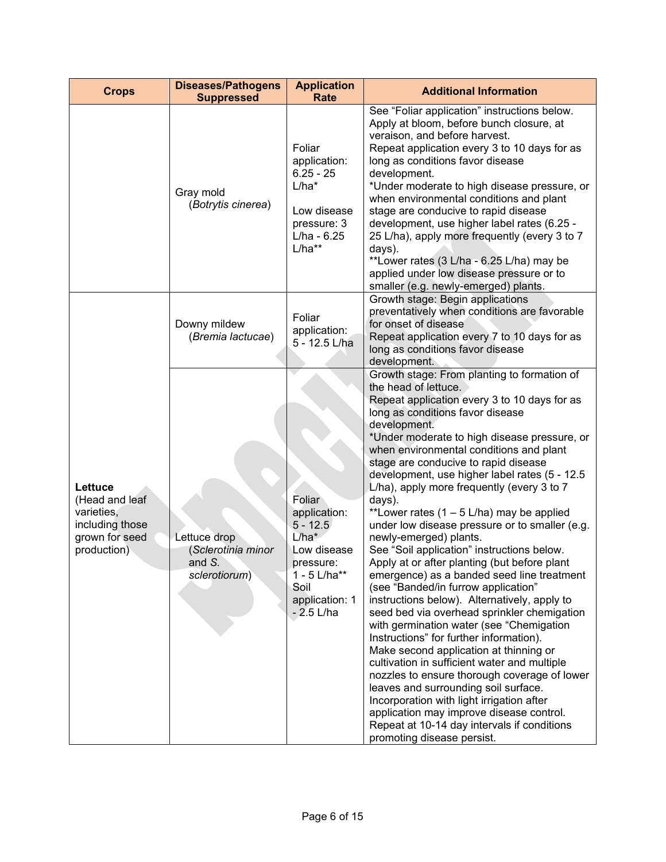| <b>Crops</b>                                                                                | <b>Diseases/Pathogens</b><br><b>Suppressed</b>                           | <b>Application</b><br>Rate                                                                                                              | <b>Additional Information</b>                                                                                                                                                                                                                                                                                                                                                                                                                                                                                                                                                                                                                                                                                                                                                                                                                                                                                                                                                                                                                                                                                                                                                                                                                                                   |
|---------------------------------------------------------------------------------------------|--------------------------------------------------------------------------|-----------------------------------------------------------------------------------------------------------------------------------------|---------------------------------------------------------------------------------------------------------------------------------------------------------------------------------------------------------------------------------------------------------------------------------------------------------------------------------------------------------------------------------------------------------------------------------------------------------------------------------------------------------------------------------------------------------------------------------------------------------------------------------------------------------------------------------------------------------------------------------------------------------------------------------------------------------------------------------------------------------------------------------------------------------------------------------------------------------------------------------------------------------------------------------------------------------------------------------------------------------------------------------------------------------------------------------------------------------------------------------------------------------------------------------|
|                                                                                             | Gray mold<br>(Botrytis cinerea)                                          | Foliar<br>application:<br>$6.25 - 25$<br>$L/ha*$<br>Low disease<br>pressure: 3<br>L/ha - 6.25<br>$L/ha**$                               | See "Foliar application" instructions below.<br>Apply at bloom, before bunch closure, at<br>veraison, and before harvest.<br>Repeat application every 3 to 10 days for as<br>long as conditions favor disease<br>development.<br>*Under moderate to high disease pressure, or<br>when environmental conditions and plant<br>stage are conducive to rapid disease<br>development, use higher label rates (6.25 -<br>25 L/ha), apply more frequently (every 3 to 7<br>days).<br>**Lower rates (3 L/ha - 6.25 L/ha) may be<br>applied under low disease pressure or to<br>smaller (e.g. newly-emerged) plants.                                                                                                                                                                                                                                                                                                                                                                                                                                                                                                                                                                                                                                                                     |
|                                                                                             | Downy mildew<br>(Bremia lactucae)                                        | Foliar<br>application:<br>5 - 12.5 L/ha                                                                                                 | Growth stage: Begin applications<br>preventatively when conditions are favorable<br>for onset of disease<br>Repeat application every 7 to 10 days for as<br>long as conditions favor disease<br>development.                                                                                                                                                                                                                                                                                                                                                                                                                                                                                                                                                                                                                                                                                                                                                                                                                                                                                                                                                                                                                                                                    |
| Lettuce<br>(Head and leaf<br>varieties,<br>including those<br>grown for seed<br>production) | Lettuce drop<br>(Sclerotinia minor<br>and $S_{\cdot}$ .<br>sclerotiorum) | Foliar<br>application:<br>$5 - 12.5$<br>$L/ha^*$<br>Low disease<br>pressure:<br>$1 - 5$ L/ha**<br>Soil<br>application: 1<br>$-2.5$ L/ha | Growth stage: From planting to formation of<br>the head of lettuce.<br>Repeat application every 3 to 10 days for as<br>long as conditions favor disease<br>development.<br>*Under moderate to high disease pressure, or<br>when environmental conditions and plant<br>stage are conducive to rapid disease<br>development, use higher label rates (5 - 12.5<br>L/ha), apply more frequently (every 3 to 7<br>days).<br>**Lower rates $(1 - 5 L/ha)$ may be applied<br>under low disease pressure or to smaller (e.g.<br>newly-emerged) plants.<br>See "Soil application" instructions below.<br>Apply at or after planting (but before plant<br>emergence) as a banded seed line treatment<br>(see "Banded/in furrow application"<br>instructions below). Alternatively, apply to<br>seed bed via overhead sprinkler chemigation<br>with germination water (see "Chemigation<br>Instructions" for further information).<br>Make second application at thinning or<br>cultivation in sufficient water and multiple<br>nozzles to ensure thorough coverage of lower<br>leaves and surrounding soil surface.<br>Incorporation with light irrigation after<br>application may improve disease control.<br>Repeat at 10-14 day intervals if conditions<br>promoting disease persist. |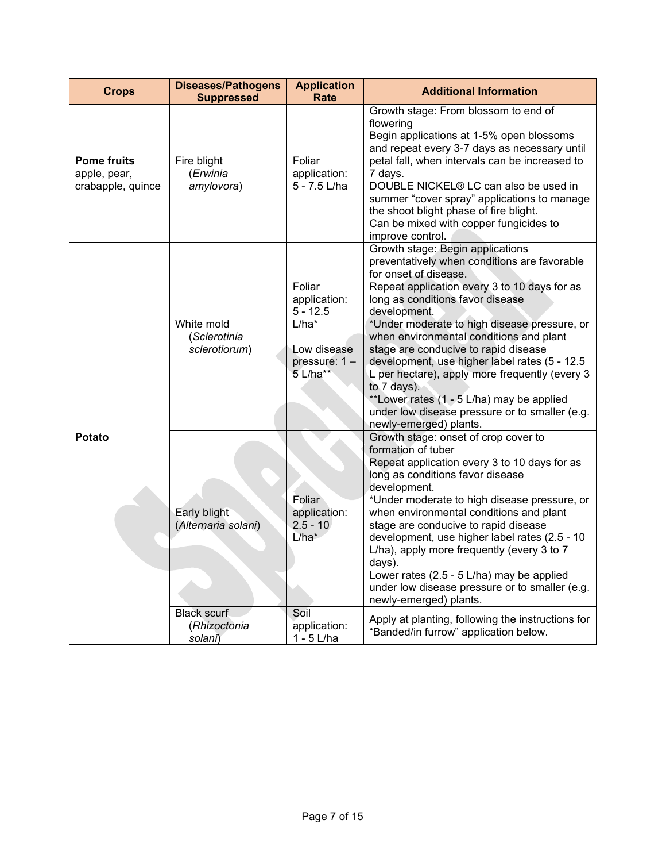| <b>Crops</b>                                            | <b>Diseases/Pathogens</b><br><b>Suppressed</b> | <b>Application</b><br><b>Rate</b>                                                           | <b>Additional Information</b>                                                                                                                                                                                                                                                                                                                                                                                                                                                                                                                                                               |
|---------------------------------------------------------|------------------------------------------------|---------------------------------------------------------------------------------------------|---------------------------------------------------------------------------------------------------------------------------------------------------------------------------------------------------------------------------------------------------------------------------------------------------------------------------------------------------------------------------------------------------------------------------------------------------------------------------------------------------------------------------------------------------------------------------------------------|
| <b>Pome fruits</b><br>apple, pear,<br>crabapple, quince | Fire blight<br>(Erwinia<br>amylovora)          | Foliar<br>application:<br>5 - 7.5 L/ha                                                      | Growth stage: From blossom to end of<br>flowering<br>Begin applications at 1-5% open blossoms<br>and repeat every 3-7 days as necessary until<br>petal fall, when intervals can be increased to<br>7 days.<br>DOUBLE NICKEL® LC can also be used in<br>summer "cover spray" applications to manage<br>the shoot blight phase of fire blight.<br>Can be mixed with copper fungicides to<br>improve control.                                                                                                                                                                                  |
|                                                         | White mold<br>(Sclerotinia<br>sclerotiorum)    | Foliar<br>application:<br>$5 - 12.5$<br>$L/ha*$<br>Low disease<br>pressure: 1 -<br>5 L/ha** | Growth stage: Begin applications<br>preventatively when conditions are favorable<br>for onset of disease.<br>Repeat application every 3 to 10 days for as<br>long as conditions favor disease<br>development.<br>*Under moderate to high disease pressure, or<br>when environmental conditions and plant<br>stage are conducive to rapid disease<br>development, use higher label rates (5 - 12.5<br>L per hectare), apply more frequently (every 3<br>to 7 days).<br>**Lower rates (1 - 5 L/ha) may be applied<br>under low disease pressure or to smaller (e.g.<br>newly-emerged) plants. |
| <b>Potato</b>                                           | Early blight<br>(Alternaria solani)            | Foliar<br>application:<br>$2.5 - 10$<br>$L/ha^*$                                            | Growth stage: onset of crop cover to<br>formation of tuber<br>Repeat application every 3 to 10 days for as<br>long as conditions favor disease<br>development.<br>*Under moderate to high disease pressure, or<br>when environmental conditions and plant<br>stage are conducive to rapid disease<br>development, use higher label rates (2.5 - 10<br>L/ha), apply more frequently (every 3 to 7<br>days).<br>Lower rates (2.5 - 5 L/ha) may be applied<br>under low disease pressure or to smaller (e.g.<br>newly-emerged) plants.                                                         |
|                                                         | <b>Black scurf</b><br>(Rhizoctonia<br>solani)  | Soil<br>application:<br>$1 - 5$ L/ha                                                        | Apply at planting, following the instructions for<br>"Banded/in furrow" application below.                                                                                                                                                                                                                                                                                                                                                                                                                                                                                                  |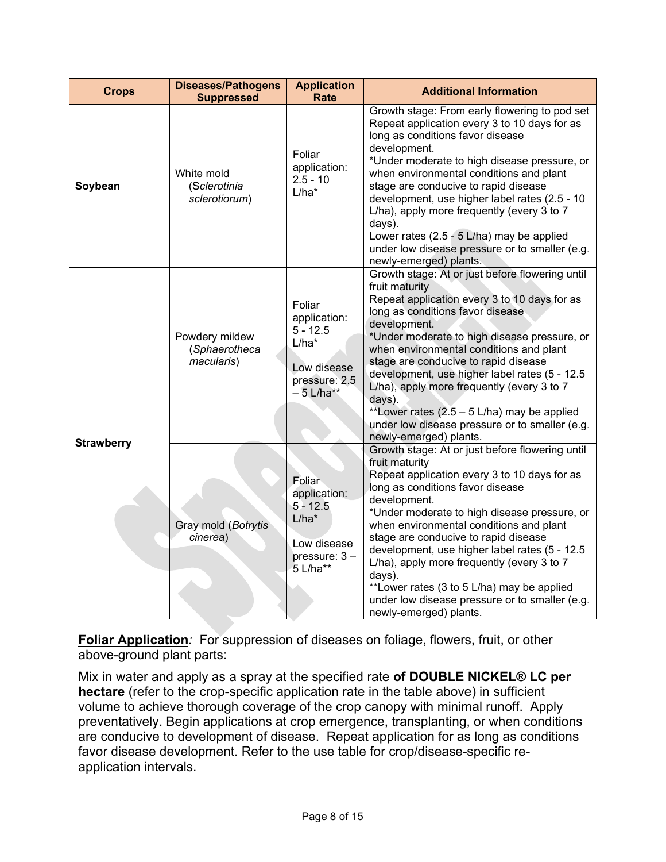| <b>Crops</b>      | <b>Diseases/Pathogens</b><br><b>Suppressed</b> | <b>Application</b><br><b>Rate</b>                                                              | <b>Additional Information</b>                                                                                                                                                                                                                                                                                                                                                                                                                                                                                                                |
|-------------------|------------------------------------------------|------------------------------------------------------------------------------------------------|----------------------------------------------------------------------------------------------------------------------------------------------------------------------------------------------------------------------------------------------------------------------------------------------------------------------------------------------------------------------------------------------------------------------------------------------------------------------------------------------------------------------------------------------|
| Soybean           | White mold<br>(Sclerotinia<br>sclerotiorum)    | Foliar<br>application:<br>$2.5 - 10$<br>$L/ha*$                                                | Growth stage: From early flowering to pod set<br>Repeat application every 3 to 10 days for as<br>long as conditions favor disease<br>development.<br>*Under moderate to high disease pressure, or<br>when environmental conditions and plant<br>stage are conducive to rapid disease<br>development, use higher label rates (2.5 - 10<br>L/ha), apply more frequently (every 3 to 7<br>days).<br>Lower rates (2.5 - 5 L/ha) may be applied<br>under low disease pressure or to smaller (e.g.<br>newly-emerged) plants.                       |
|                   | Powdery mildew<br>(Sphaerotheca<br>macularis)  | Foliar<br>application:<br>$5 - 12.5$<br>$L/ha*$<br>Low disease<br>pressure: 2.5<br>$-5$ L/ha** | Growth stage: At or just before flowering until<br>fruit maturity<br>Repeat application every 3 to 10 days for as<br>long as conditions favor disease<br>development.<br>*Under moderate to high disease pressure, or<br>when environmental conditions and plant<br>stage are conducive to rapid disease<br>development, use higher label rates (5 - 12.5<br>L/ha), apply more frequently (every 3 to 7<br>days).<br>**Lower rates (2.5 - 5 L/ha) may be applied<br>under low disease pressure or to smaller (e.g.<br>newly-emerged) plants. |
| <b>Strawberry</b> | Gray mold (Botrytis<br>cinerea)                | Foliar<br>application:<br>$5 - 12.5$<br>$L/ha^*$<br>Low disease<br>pressure: 3-<br>5 L/ha**    | Growth stage: At or just before flowering until<br>fruit maturity<br>Repeat application every 3 to 10 days for as<br>long as conditions favor disease<br>development.<br>*Under moderate to high disease pressure, or<br>when environmental conditions and plant<br>stage are conducive to rapid disease<br>development, use higher label rates (5 - 12.5<br>L/ha), apply more frequently (every 3 to 7<br>days).<br>**Lower rates (3 to 5 L/ha) may be applied<br>under low disease pressure or to smaller (e.g.<br>newly-emerged) plants.  |

**Foliar Application***:* For suppression of diseases on foliage, flowers, fruit, or other above-ground plant parts:

Mix in water and apply as a spray at the specified rate **of DOUBLE NICKEL® LC per hectare** (refer to the crop-specific application rate in the table above) in sufficient volume to achieve thorough coverage of the crop canopy with minimal runoff. Apply preventatively. Begin applications at crop emergence, transplanting, or when conditions are conducive to development of disease. Repeat application for as long as conditions favor disease development. Refer to the use table for crop/disease-specific reapplication intervals.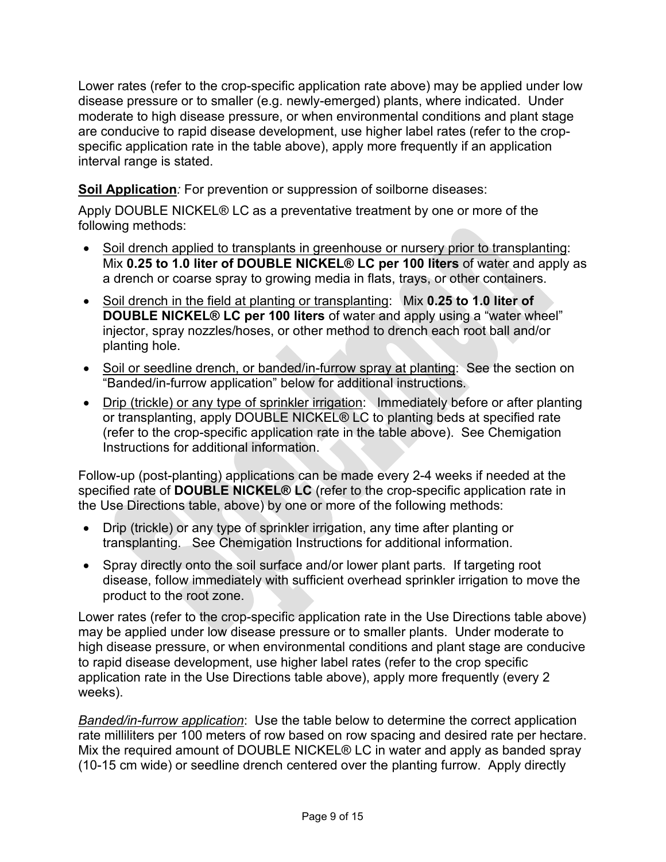Lower rates (refer to the crop-specific application rate above) may be applied under low disease pressure or to smaller (e.g. newly-emerged) plants, where indicated. Under moderate to high disease pressure, or when environmental conditions and plant stage are conducive to rapid disease development, use higher label rates (refer to the cropspecific application rate in the table above), apply more frequently if an application interval range is stated.

**Soil Application***:* For prevention or suppression of soilborne diseases:

Apply DOUBLE NICKEL® LC as a preventative treatment by one or more of the following methods:

- Soil drench applied to transplants in greenhouse or nursery prior to transplanting: Mix **0.25 to 1.0 liter of DOUBLE NICKEL® LC per 100 liters** of water and apply as a drench or coarse spray to growing media in flats, trays, or other containers.
- Soil drench in the field at planting or transplanting: Mix **0.25 to 1.0 liter of DOUBLE NICKEL® LC per 100 liters** of water and apply using a "water wheel" injector, spray nozzles/hoses, or other method to drench each root ball and/or planting hole.
- Soil or seedline drench, or banded/in-furrow spray at planting: See the section on "Banded/in-furrow application" below for additional instructions.
- Drip (trickle) or any type of sprinkler irrigation: Immediately before or after planting or transplanting, apply DOUBLE NICKEL® LC to planting beds at specified rate (refer to the crop-specific application rate in the table above). See Chemigation Instructions for additional information.

Follow-up (post-planting) applications can be made every 2-4 weeks if needed at the specified rate of **DOUBLE NICKEL® LC** (refer to the crop-specific application rate in the Use Directions table, above) by one or more of the following methods:

- Drip (trickle) or any type of sprinkler irrigation, any time after planting or transplanting. See Chemigation Instructions for additional information.
- Spray directly onto the soil surface and/or lower plant parts. If targeting root disease, follow immediately with sufficient overhead sprinkler irrigation to move the product to the root zone.

Lower rates (refer to the crop-specific application rate in the Use Directions table above) may be applied under low disease pressure or to smaller plants. Under moderate to high disease pressure, or when environmental conditions and plant stage are conducive to rapid disease development, use higher label rates (refer to the crop specific application rate in the Use Directions table above), apply more frequently (every 2 weeks).

*Banded/in-furrow application*: Use the table below to determine the correct application rate milliliters per 100 meters of row based on row spacing and desired rate per hectare. Mix the required amount of DOUBLE NICKEL® LC in water and apply as banded spray (10-15 cm wide) or seedline drench centered over the planting furrow. Apply directly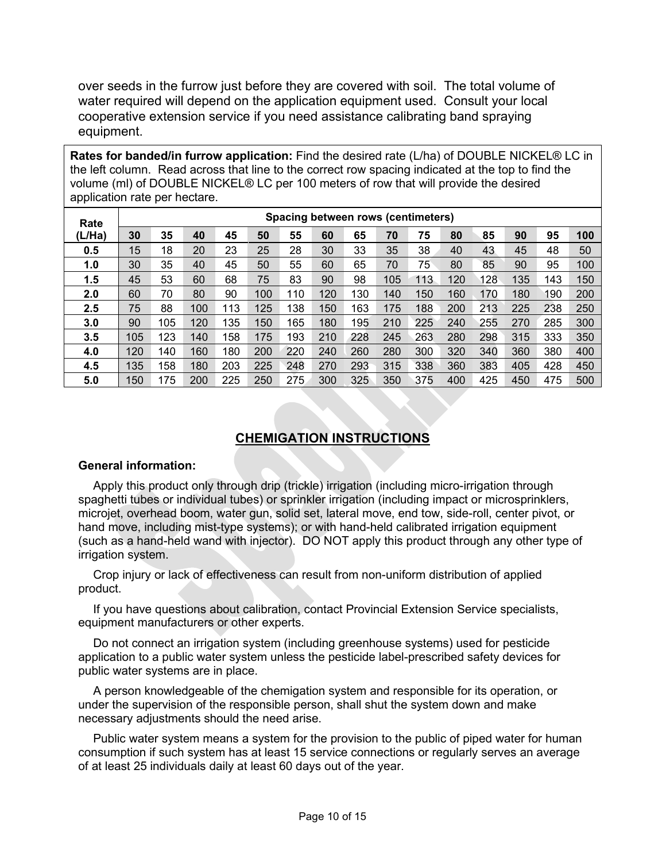over seeds in the furrow just before they are covered with soil. The total volume of water required will depend on the application equipment used. Consult your local cooperative extension service if you need assistance calibrating band spraying equipment.

**Rates for banded/in furrow application:** Find the desired rate (L/ha) of DOUBLE NICKEL® LC in the left column. Read across that line to the correct row spacing indicated at the top to find the volume (ml) of DOUBLE NICKEL® LC per 100 meters of row that will provide the desired application rate per hectare.

| Rate   | Spacing between rows (centimeters) |     |     |     |     |     |     |     |     |     |     |     |     |     |     |
|--------|------------------------------------|-----|-----|-----|-----|-----|-----|-----|-----|-----|-----|-----|-----|-----|-----|
| (L/Ha) | 30                                 | 35  | 40  | 45  | 50  | 55  | 60  | 65  | 70  | 75  | 80  | 85  | 90  | 95  | 100 |
| 0.5    | 15                                 | 18  | 20  | 23  | 25  | 28  | 30  | 33  | 35  | 38  | 40  | 43  | 45  | 48  | 50  |
| 1.0    | 30                                 | 35  | 40  | 45  | 50  | 55  | 60  | 65  | 70  | 75  | 80  | 85  | 90  | 95  | 100 |
| 1.5    | 45                                 | 53  | 60  | 68  | 75  | 83  | 90  | 98  | 105 | 113 | 120 | 128 | 135 | 143 | 150 |
| 2.0    | 60                                 | 70  | 80  | 90  | 100 | 10  | 120 | 130 | 140 | 150 | 160 | 170 | 180 | 190 | 200 |
| 2.5    | 75                                 | 88  | 100 | 113 | 125 | 138 | 150 | 163 | 175 | 188 | 200 | 213 | 225 | 238 | 250 |
| 3.0    | 90                                 | 105 | 120 | 135 | 150 | 165 | 180 | 195 | 210 | 225 | 240 | 255 | 270 | 285 | 300 |
| 3.5    | 105                                | 123 | 140 | 158 | 175 | 193 | 210 | 228 | 245 | 263 | 280 | 298 | 315 | 333 | 350 |
| 4.0    | 120                                | 140 | 160 | 180 | 200 | 220 | 240 | 260 | 280 | 300 | 320 | 340 | 360 | 380 | 400 |
| 4.5    | 135                                | 158 | 180 | 203 | 225 | 248 | 270 | 293 | 315 | 338 | 360 | 383 | 405 | 428 | 450 |
| 5.0    | 150                                | 175 | 200 | 225 | 250 | 275 | 300 | 325 | 350 | 375 | 400 | 425 | 450 | 475 | 500 |

## **CHEMIGATION INSTRUCTIONS**

#### **General information:**

Apply this product only through drip (trickle) irrigation (including micro-irrigation through spaghetti tubes or individual tubes) or sprinkler irrigation (including impact or microsprinklers, microjet, overhead boom, water gun, solid set, lateral move, end tow, side-roll, center pivot, or hand move, including mist-type systems); or with hand-held calibrated irrigation equipment (such as a hand-held wand with injector). DO NOT apply this product through any other type of irrigation system.

Crop injury or lack of effectiveness can result from non-uniform distribution of applied product.

If you have questions about calibration, contact Provincial Extension Service specialists, equipment manufacturers or other experts.

Do not connect an irrigation system (including greenhouse systems) used for pesticide application to a public water system unless the pesticide label-prescribed safety devices for public water systems are in place.

A person knowledgeable of the chemigation system and responsible for its operation, or under the supervision of the responsible person, shall shut the system down and make necessary adjustments should the need arise.

Public water system means a system for the provision to the public of piped water for human consumption if such system has at least 15 service connections or regularly serves an average of at least 25 individuals daily at least 60 days out of the year.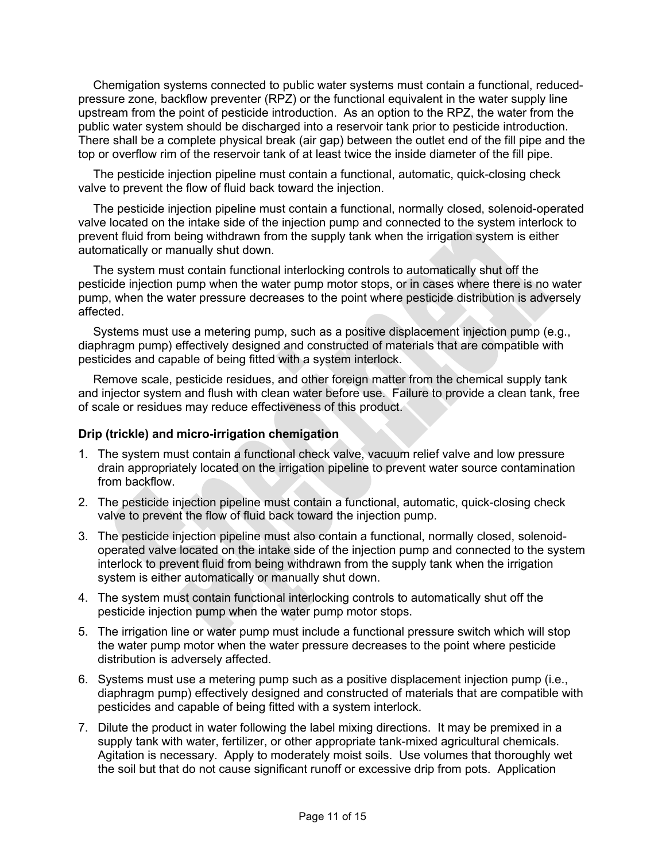Chemigation systems connected to public water systems must contain a functional, reducedpressure zone, backflow preventer (RPZ) or the functional equivalent in the water supply line upstream from the point of pesticide introduction. As an option to the RPZ, the water from the public water system should be discharged into a reservoir tank prior to pesticide introduction. There shall be a complete physical break (air gap) between the outlet end of the fill pipe and the top or overflow rim of the reservoir tank of at least twice the inside diameter of the fill pipe.

The pesticide injection pipeline must contain a functional, automatic, quick-closing check valve to prevent the flow of fluid back toward the injection.

The pesticide injection pipeline must contain a functional, normally closed, solenoid-operated valve located on the intake side of the injection pump and connected to the system interlock to prevent fluid from being withdrawn from the supply tank when the irrigation system is either automatically or manually shut down.

The system must contain functional interlocking controls to automatically shut off the pesticide injection pump when the water pump motor stops, or in cases where there is no water pump, when the water pressure decreases to the point where pesticide distribution is adversely affected.

Systems must use a metering pump, such as a positive displacement injection pump (e.g., diaphragm pump) effectively designed and constructed of materials that are compatible with pesticides and capable of being fitted with a system interlock.

Remove scale, pesticide residues, and other foreign matter from the chemical supply tank and injector system and flush with clean water before use. Failure to provide a clean tank, free of scale or residues may reduce effectiveness of this product.

#### **Drip (trickle) and micro-irrigation chemigation**

- 1. The system must contain a functional check valve, vacuum relief valve and low pressure drain appropriately located on the irrigation pipeline to prevent water source contamination from backflow.
- 2. The pesticide injection pipeline must contain a functional, automatic, quick-closing check valve to prevent the flow of fluid back toward the injection pump.
- 3. The pesticide injection pipeline must also contain a functional, normally closed, solenoidoperated valve located on the intake side of the injection pump and connected to the system interlock to prevent fluid from being withdrawn from the supply tank when the irrigation system is either automatically or manually shut down.
- 4. The system must contain functional interlocking controls to automatically shut off the pesticide injection pump when the water pump motor stops.
- 5. The irrigation line or water pump must include a functional pressure switch which will stop the water pump motor when the water pressure decreases to the point where pesticide distribution is adversely affected.
- 6. Systems must use a metering pump such as a positive displacement injection pump (i.e., diaphragm pump) effectively designed and constructed of materials that are compatible with pesticides and capable of being fitted with a system interlock.
- 7. Dilute the product in water following the label mixing directions. It may be premixed in a supply tank with water, fertilizer, or other appropriate tank-mixed agricultural chemicals. Agitation is necessary. Apply to moderately moist soils. Use volumes that thoroughly wet the soil but that do not cause significant runoff or excessive drip from pots. Application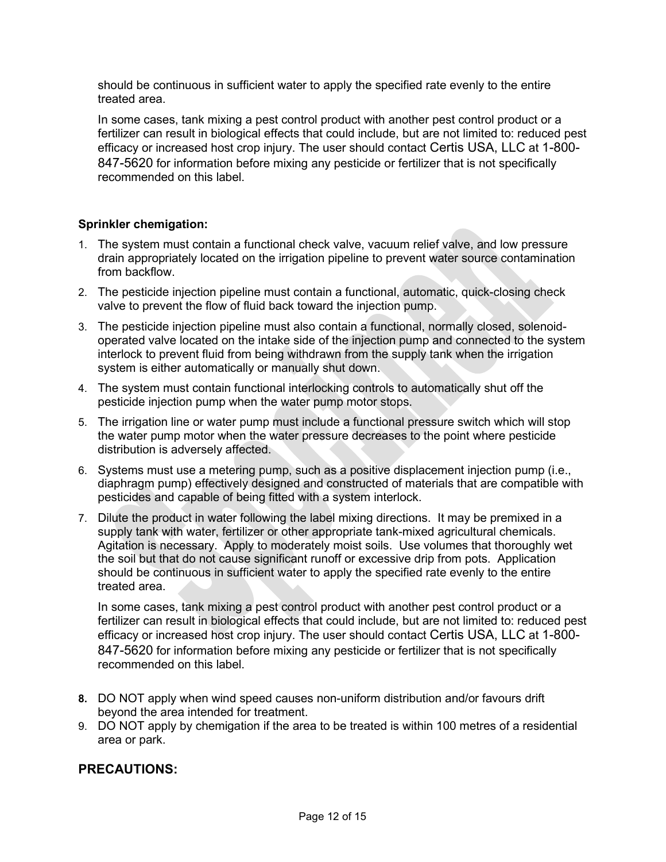should be continuous in sufficient water to apply the specified rate evenly to the entire treated area.

In some cases, tank mixing a pest control product with another pest control product or a fertilizer can result in biological effects that could include, but are not limited to: reduced pest efficacy or increased host crop injury. The user should contact Certis USA, LLC at 1-800- 847-5620 for information before mixing any pesticide or fertilizer that is not specifically recommended on this label.

#### **Sprinkler chemigation:**

- 1. The system must contain a functional check valve, vacuum relief valve, and low pressure drain appropriately located on the irrigation pipeline to prevent water source contamination from backflow.
- 2. The pesticide injection pipeline must contain a functional, automatic, quick-closing check valve to prevent the flow of fluid back toward the injection pump.
- 3. The pesticide injection pipeline must also contain a functional, normally closed, solenoidoperated valve located on the intake side of the injection pump and connected to the system interlock to prevent fluid from being withdrawn from the supply tank when the irrigation system is either automatically or manually shut down.
- 4. The system must contain functional interlocking controls to automatically shut off the pesticide injection pump when the water pump motor stops.
- 5. The irrigation line or water pump must include a functional pressure switch which will stop the water pump motor when the water pressure decreases to the point where pesticide distribution is adversely affected.
- 6. Systems must use a metering pump, such as a positive displacement injection pump (i.e., diaphragm pump) effectively designed and constructed of materials that are compatible with pesticides and capable of being fitted with a system interlock.
- 7. Dilute the product in water following the label mixing directions. It may be premixed in a supply tank with water, fertilizer or other appropriate tank-mixed agricultural chemicals. Agitation is necessary. Apply to moderately moist soils. Use volumes that thoroughly wet the soil but that do not cause significant runoff or excessive drip from pots. Application should be continuous in sufficient water to apply the specified rate evenly to the entire treated area.

In some cases, tank mixing a pest control product with another pest control product or a fertilizer can result in biological effects that could include, but are not limited to: reduced pest efficacy or increased host crop injury. The user should contact Certis USA, LLC at 1-800- 847-5620 for information before mixing any pesticide or fertilizer that is not specifically recommended on this label.

- **8.** DO NOT apply when wind speed causes non-uniform distribution and/or favours drift beyond the area intended for treatment.
- 9. DO NOT apply by chemigation if the area to be treated is within 100 metres of a residential area or park.

#### **PRECAUTIONS:**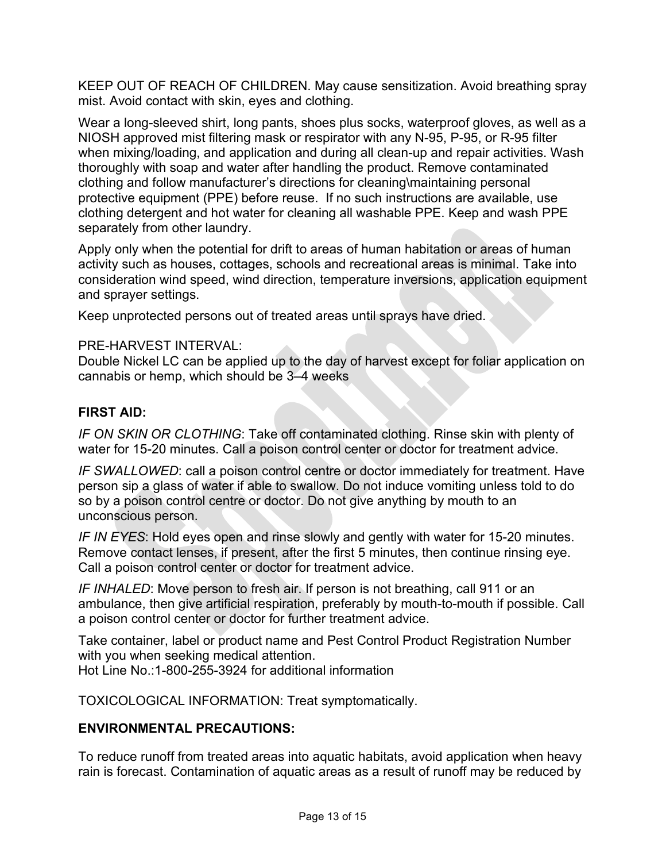KEEP OUT OF REACH OF CHILDREN. May cause sensitization. Avoid breathing spray mist. Avoid contact with skin, eyes and clothing.

Wear a long-sleeved shirt, long pants, shoes plus socks, waterproof gloves, as well as a NIOSH approved mist filtering mask or respirator with any N-95, P-95, or R-95 filter when mixing/loading, and application and during all clean-up and repair activities. Wash thoroughly with soap and water after handling the product. Remove contaminated clothing and follow manufacturer's directions for cleaning\maintaining personal protective equipment (PPE) before reuse. If no such instructions are available, use clothing detergent and hot water for cleaning all washable PPE. Keep and wash PPE separately from other laundry.

Apply only when the potential for drift to areas of human habitation or areas of human activity such as houses, cottages, schools and recreational areas is minimal. Take into consideration wind speed, wind direction, temperature inversions, application equipment and sprayer settings.

Keep unprotected persons out of treated areas until sprays have dried.

#### PRE-HARVEST INTERVAL:

Double Nickel LC can be applied up to the day of harvest except for foliar application on cannabis or hemp, which should be 3–4 weeks

#### **FIRST AID:**

*IF ON SKIN OR CLOTHING*: Take off contaminated clothing. Rinse skin with plenty of water for 15-20 minutes. Call a poison control center or doctor for treatment advice.

*IF SWALLOWED*: call a poison control centre or doctor immediately for treatment. Have person sip a glass of water if able to swallow. Do not induce vomiting unless told to do so by a poison control centre or doctor. Do not give anything by mouth to an unconscious person.

*IF IN EYES*: Hold eyes open and rinse slowly and gently with water for 15-20 minutes. Remove contact lenses, if present, after the first 5 minutes, then continue rinsing eye. Call a poison control center or doctor for treatment advice.

*IF INHALED*: Move person to fresh air. If person is not breathing, call 911 or an ambulance, then give artificial respiration, preferably by mouth-to-mouth if possible. Call a poison control center or doctor for further treatment advice.

Take container, label or product name and Pest Control Product Registration Number with you when seeking medical attention. Hot Line No.:1-800-255-3924 for additional information

TOXICOLOGICAL INFORMATION: Treat symptomatically.

#### **ENVIRONMENTAL PRECAUTIONS:**

To reduce runoff from treated areas into aquatic habitats, avoid application when heavy rain is forecast. Contamination of aquatic areas as a result of runoff may be reduced by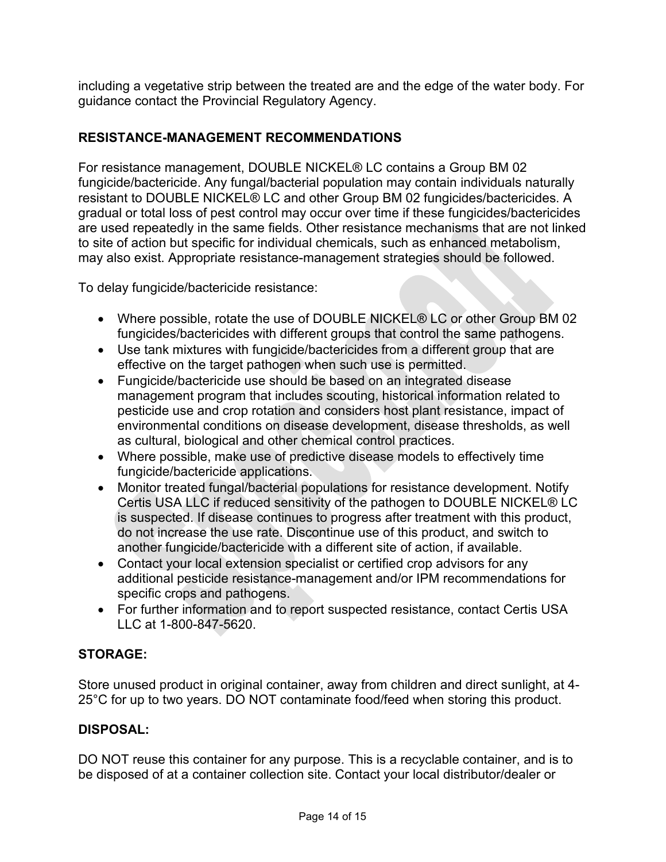including a vegetative strip between the treated are and the edge of the water body. For guidance contact the Provincial Regulatory Agency.

## **RESISTANCE-MANAGEMENT RECOMMENDATIONS**

For resistance management, DOUBLE NICKEL® LC contains a Group BM 02 fungicide/bactericide. Any fungal/bacterial population may contain individuals naturally resistant to DOUBLE NICKEL® LC and other Group BM 02 fungicides/bactericides. A gradual or total loss of pest control may occur over time if these fungicides/bactericides are used repeatedly in the same fields. Other resistance mechanisms that are not linked to site of action but specific for individual chemicals, such as enhanced metabolism, may also exist. Appropriate resistance-management strategies should be followed.

To delay fungicide/bactericide resistance:

- Where possible, rotate the use of DOUBLE NICKEL® LC or other Group BM 02 fungicides/bactericides with different groups that control the same pathogens.
- Use tank mixtures with fungicide/bactericides from a different group that are effective on the target pathogen when such use is permitted.
- Fungicide/bactericide use should be based on an integrated disease management program that includes scouting, historical information related to pesticide use and crop rotation and considers host plant resistance, impact of environmental conditions on disease development, disease thresholds, as well as cultural, biological and other chemical control practices.
- Where possible, make use of predictive disease models to effectively time fungicide/bactericide applications.
- Monitor treated fungal/bacterial populations for resistance development. Notify Certis USA LLC if reduced sensitivity of the pathogen to DOUBLE NICKEL® LC is suspected. If disease continues to progress after treatment with this product, do not increase the use rate. Discontinue use of this product, and switch to another fungicide/bactericide with a different site of action, if available.
- Contact your local extension specialist or certified crop advisors for any additional pesticide resistance-management and/or IPM recommendations for specific crops and pathogens.
- For further information and to report suspected resistance, contact Certis USA LLC at 1-800-847-5620.

## **STORAGE:**

Store unused product in original container, away from children and direct sunlight, at 4- 25°C for up to two years. DO NOT contaminate food/feed when storing this product.

## **DISPOSAL:**

DO NOT reuse this container for any purpose. This is a recyclable container, and is to be disposed of at a container collection site. Contact your local distributor/dealer or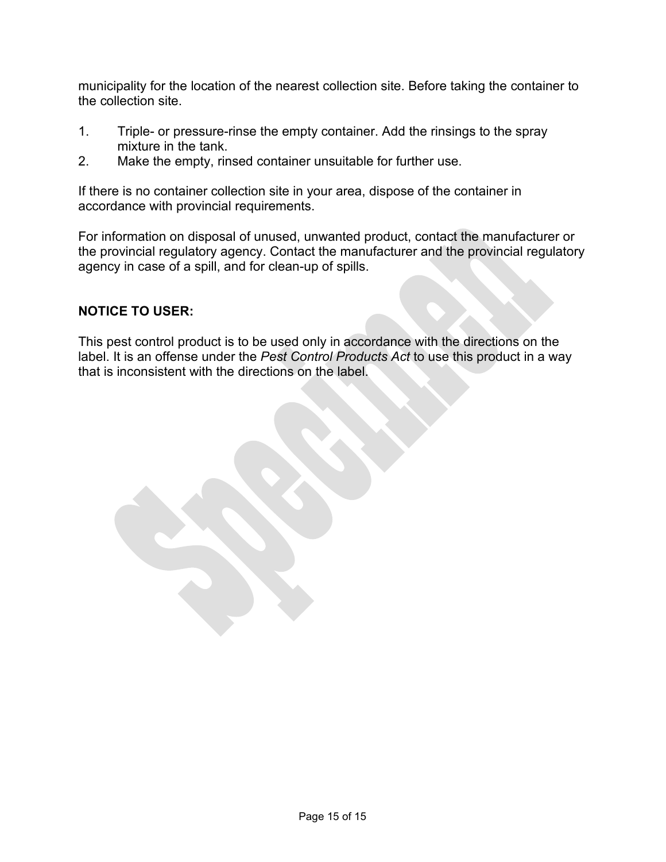municipality for the location of the nearest collection site. Before taking the container to the collection site.

- 1. Triple- or pressure-rinse the empty container. Add the rinsings to the spray mixture in the tank.
- 2. Make the empty, rinsed container unsuitable for further use.

If there is no container collection site in your area, dispose of the container in accordance with provincial requirements.

For information on disposal of unused, unwanted product, contact the manufacturer or the provincial regulatory agency. Contact the manufacturer and the provincial regulatory agency in case of a spill, and for clean-up of spills.

#### **NOTICE TO USER:**

This pest control product is to be used only in accordance with the directions on the label. It is an offense under the *Pest Control Products Act* to use this product in a way that is inconsistent with the directions on the label.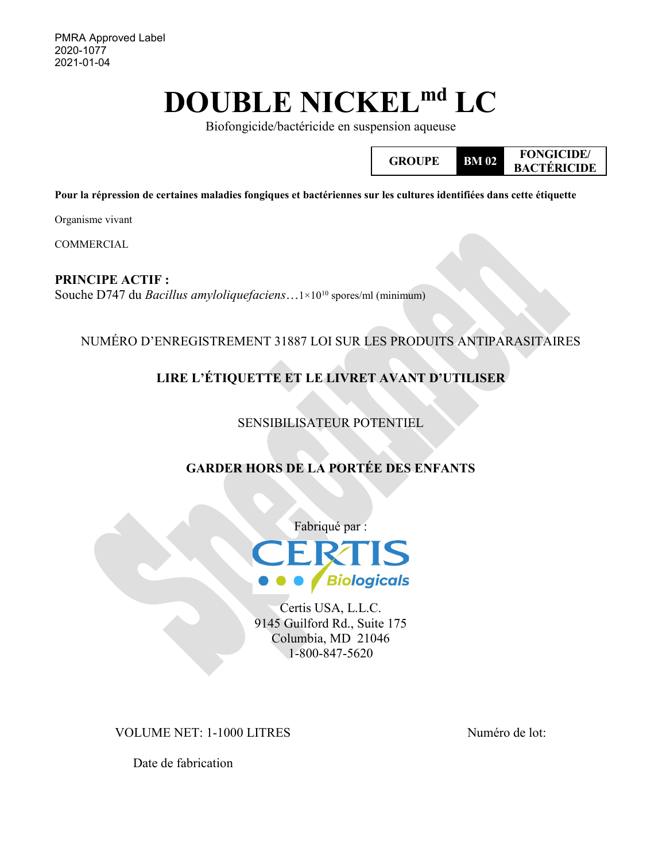PMRA Approved Label 2020-1077 2021-01-04

# **DOUBLE NICKELmd LC**

Biofongicide/bactéricide en suspension aqueuse



**Pour la répression de certaines maladies fongiques et bactériennes sur les cultures identifiées dans cette étiquette**

Organisme vivant

COMMERCIAL

**PRINCIPE ACTIF :** Souche D747 du *Bacillus amyloliquefaciens*…1×1010 spores/ml (minimum)

NUMÉRO D'ENREGISTREMENT 31887 LOI SUR LES PRODUITS ANTIPARASITAIRES

# **LIRE L'ÉTIQUETTE ET LE LIVRET AVANT D'UTILISER**

## SENSIBILISATEUR POTENTIEL

## **GARDER HORS DE LA PORTÉE DES ENFANTS**



Certis USA, L.L.C. 9145 Guilford Rd., Suite 175 Columbia, MD 21046 1-800-847-5620

VOLUME NET: 1-1000 LITRES Numéro de lot:

Date de fabrication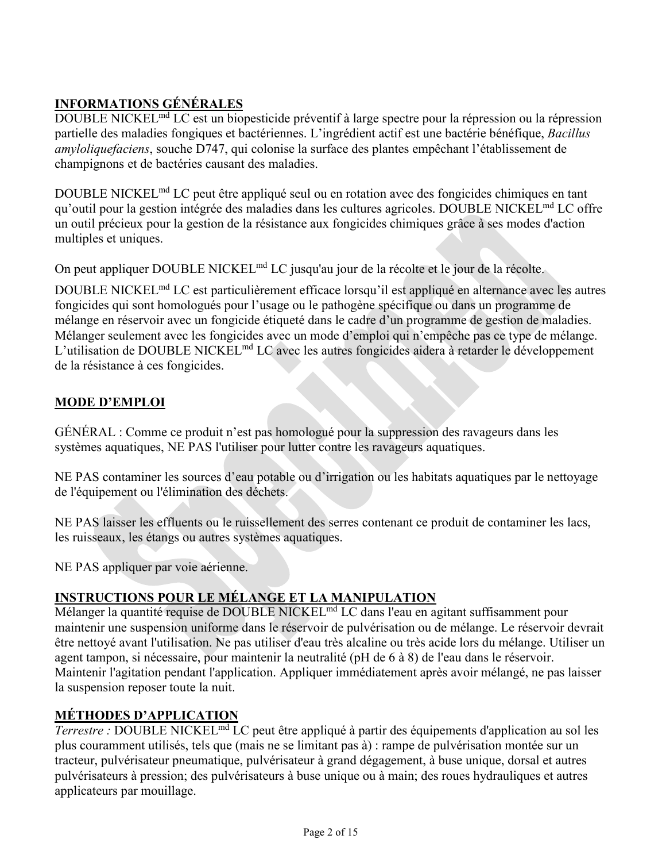## **INFORMATIONS GÉNÉRALES**

DOUBLE NICKELmd LC est un biopesticide préventif à large spectre pour la répression ou la répression partielle des maladies fongiques et bactériennes. L'ingrédient actif est une bactérie bénéfique, *Bacillus amyloliquefaciens*, souche D747, qui colonise la surface des plantes empêchant l'établissement de champignons et de bactéries causant des maladies.

DOUBLE NICKELmd LC peut être appliqué seul ou en rotation avec des fongicides chimiques en tant qu'outil pour la gestion intégrée des maladies dans les cultures agricoles. DOUBLE NICKELmd LC offre un outil précieux pour la gestion de la résistance aux fongicides chimiques grâce à ses modes d'action multiples et uniques.

On peut appliquer DOUBLE NICKEL<sup>md</sup> LC jusqu'au jour de la récolte et le jour de la récolte.

DOUBLE NICKELmd LC est particulièrement efficace lorsqu'il est appliqué en alternance avec les autres fongicides qui sont homologués pour l'usage ou le pathogène spécifique ou dans un programme de mélange en réservoir avec un fongicide étiqueté dans le cadre d'un programme de gestion de maladies. Mélanger seulement avec les fongicides avec un mode d'emploi qui n'empêche pas ce type de mélange. L'utilisation de DOUBLE NICKEL<sup>md</sup> LC avec les autres fongicides aidera à retarder le développement de la résistance à ces fongicides.

## **MODE D'EMPLOI**

GÉNÉRAL : Comme ce produit n'est pas homologué pour la suppression des ravageurs dans les systèmes aquatiques, NE PAS l'utiliser pour lutter contre les ravageurs aquatiques.

NE PAS contaminer les sources d'eau potable ou d'irrigation ou les habitats aquatiques par le nettoyage de l'équipement ou l'élimination des déchets.

NE PAS laisser les effluents ou le ruissellement des serres contenant ce produit de contaminer les lacs, les ruisseaux, les étangs ou autres systèmes aquatiques.

NE PAS appliquer par voie aérienne.

# **INSTRUCTIONS POUR LE MÉLANGE ET LA MANIPULATION**

Mélanger la quantité requise de DOUBLE NICKELmd LC dans l'eau en agitant suffisamment pour maintenir une suspension uniforme dans le réservoir de pulvérisation ou de mélange. Le réservoir devrait être nettoyé avant l'utilisation. Ne pas utiliser d'eau très alcaline ou très acide lors du mélange. Utiliser un agent tampon, si nécessaire, pour maintenir la neutralité (pH de 6 à 8) de l'eau dans le réservoir. Maintenir l'agitation pendant l'application. Appliquer immédiatement après avoir mélangé, ne pas laisser la suspension reposer toute la nuit.

## **MÉTHODES D'APPLICATION**

*Terrestre :* DOUBLE NICKELmd LC peut être appliqué à partir des équipements d'application au sol les plus couramment utilisés, tels que (mais ne se limitant pas à) : rampe de pulvérisation montée sur un tracteur, pulvérisateur pneumatique, pulvérisateur à grand dégagement, à buse unique, dorsal et autres pulvérisateurs à pression; des pulvérisateurs à buse unique ou à main; des roues hydrauliques et autres applicateurs par mouillage.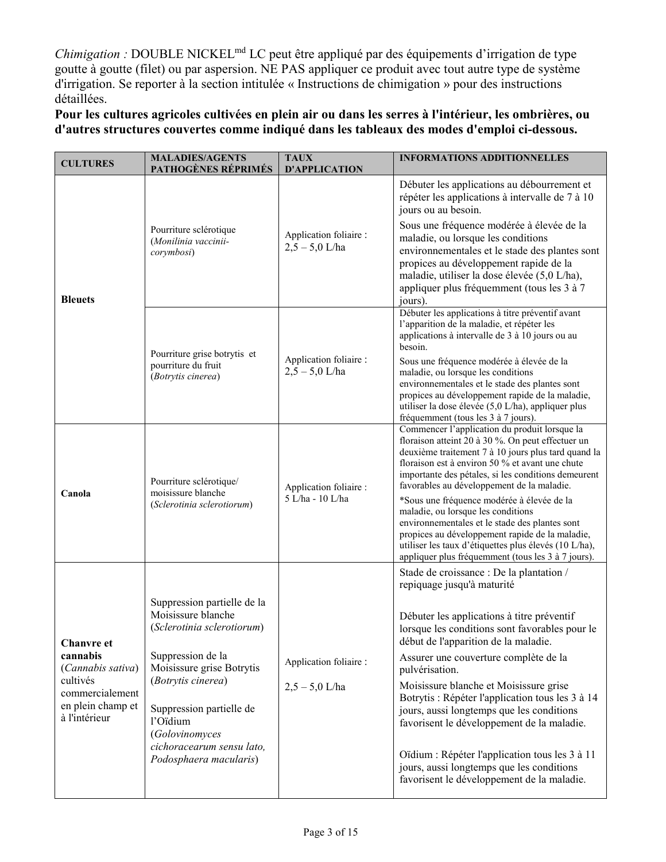*Chimigation :* DOUBLE NICKELmd LC peut être appliqué par des équipements d'irrigation de type goutte à goutte (filet) ou par aspersion. NE PAS appliquer ce produit avec tout autre type de système d'irrigation. Se reporter à la section intitulée « Instructions de chimigation » pour des instructions détaillées.

**Pour les cultures agricoles cultivées en plein air ou dans les serres à l'intérieur, les ombrières, ou d'autres structures couvertes comme indiqué dans les tableaux des modes d'emploi ci-dessous.**

| <b>CULTURES</b>                                                                                                         | <b>MALADIES/AGENTS</b><br>PATHOGÈNES RÉPRIMÉS                                                                                                                                                                                                                            | <b>TAUX</b><br><b>D'APPLICATION</b>        | <b>INFORMATIONS ADDITIONNELLES</b>                                                                                                                                                                                                                                                                                                                                                                                                                                                                                                                                                                                        |
|-------------------------------------------------------------------------------------------------------------------------|--------------------------------------------------------------------------------------------------------------------------------------------------------------------------------------------------------------------------------------------------------------------------|--------------------------------------------|---------------------------------------------------------------------------------------------------------------------------------------------------------------------------------------------------------------------------------------------------------------------------------------------------------------------------------------------------------------------------------------------------------------------------------------------------------------------------------------------------------------------------------------------------------------------------------------------------------------------------|
| <b>Bleuets</b>                                                                                                          | Pourriture sclérotique<br>(Monilinia vaccinii-<br>corymbosi)                                                                                                                                                                                                             | Application foliaire :<br>$2,5 - 5,0$ L/ha | Débuter les applications au débourrement et<br>répéter les applications à intervalle de 7 à 10<br>jours ou au besoin.<br>Sous une fréquence modérée à élevée de la<br>maladie, ou lorsque les conditions<br>environnementales et le stade des plantes sont<br>propices au développement rapide de la<br>maladie, utiliser la dose élevée (5,0 L/ha),<br>appliquer plus fréquemment (tous les 3 à 7<br>jours).                                                                                                                                                                                                             |
|                                                                                                                         | Pourriture grise botrytis et<br>pourriture du fruit<br>(Botrytis cinerea)                                                                                                                                                                                                | Application foliaire :<br>$2,5 - 5,0$ L/ha | Débuter les applications à titre préventif avant<br>l'apparition de la maladie, et répéter les<br>applications à intervalle de 3 à 10 jours ou au<br>besoin.<br>Sous une fréquence modérée à élevée de la<br>maladie, ou lorsque les conditions<br>environnementales et le stade des plantes sont<br>propices au développement rapide de la maladie,<br>utiliser la dose élevée (5,0 L/ha), appliquer plus<br>fréquemment (tous les 3 à 7 jours).                                                                                                                                                                         |
| Canola                                                                                                                  | Pourriture sclérotique/<br>moisissure blanche<br>(Sclerotinia sclerotiorum)                                                                                                                                                                                              | Application foliaire :<br>5 L/ha - 10 L/ha | Commencer l'application du produit lorsque la<br>floraison atteint 20 à 30 %. On peut effectuer un<br>deuxième traitement 7 à 10 jours plus tard quand la<br>floraison est à environ 50 % et avant une chute<br>importante des pétales, si les conditions demeurent<br>favorables au développement de la maladie.<br>*Sous une fréquence modérée à élevée de la<br>maladie, ou lorsque les conditions<br>environnementales et le stade des plantes sont<br>propices au développement rapide de la maladie,<br>utiliser les taux d'étiquettes plus élevés (10 L/ha),<br>appliquer plus fréquemment (tous les 3 à 7 jours). |
| <b>Chanvre</b> et<br>cannabis<br>(Cannabis sativa)<br>cultivés<br>commercialement<br>en plein champ et<br>à l'intérieur | Suppression partielle de la<br>Moisissure blanche<br>(Sclerotinia sclerotiorum)<br>Suppression de la<br>Moisissure grise Botrytis<br>(Botrytis cinerea)<br>Suppression partielle de<br>l'Oïdium<br>(Golovinomyces<br>cichoracearum sensu lato,<br>Podosphaera macularis) | Application foliaire :<br>$2,5 - 5,0$ L/ha | Stade de croissance : De la plantation /<br>repiquage jusqu'à maturité<br>Débuter les applications à titre préventif<br>lorsque les conditions sont favorables pour le<br>début de l'apparition de la maladie.<br>Assurer une couverture complète de la<br>pulvérisation.<br>Moisissure blanche et Moisissure grise<br>Botrytis : Répéter l'application tous les 3 à 14<br>jours, aussi longtemps que les conditions<br>favorisent le développement de la maladie.<br>Oïdium : Répéter l'application tous les 3 à 11<br>jours, aussi longtemps que les conditions<br>favorisent le développement de la maladie.           |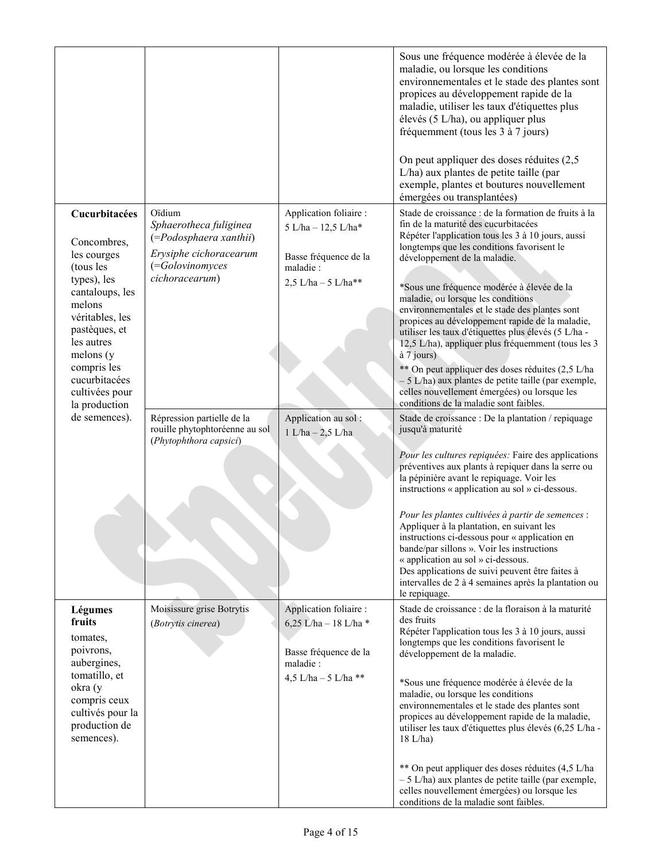|                                                                                                                                                                                                                                        |                                                                                                                           |                                                                                                               | Sous une fréquence modérée à élevée de la<br>maladie, ou lorsque les conditions<br>environnementales et le stade des plantes sont<br>propices au développement rapide de la<br>maladie, utiliser les taux d'étiquettes plus<br>élevés (5 L/ha), ou appliquer plus<br>fréquemment (tous les 3 à 7 jours)<br>On peut appliquer des doses réduites (2,5<br>L/ha) aux plantes de petite taille (par<br>exemple, plantes et boutures nouvellement<br>émergées ou transplantées)                                                                                                                                                                                                                                                                                   |
|----------------------------------------------------------------------------------------------------------------------------------------------------------------------------------------------------------------------------------------|---------------------------------------------------------------------------------------------------------------------------|---------------------------------------------------------------------------------------------------------------|--------------------------------------------------------------------------------------------------------------------------------------------------------------------------------------------------------------------------------------------------------------------------------------------------------------------------------------------------------------------------------------------------------------------------------------------------------------------------------------------------------------------------------------------------------------------------------------------------------------------------------------------------------------------------------------------------------------------------------------------------------------|
| Cucurbitacées<br>Concombres,<br>les courges<br>(tous les<br>types), les<br>cantaloups, les<br>melons<br>véritables, les<br>pastèques, et<br>les autres<br>melons(y)<br>compris les<br>cucurbitacées<br>cultivées pour<br>la production | Oïdium<br>Sphaerotheca fuliginea<br>(=Podosphaera xanthii)<br>Erysiphe cichoracearum<br>(=Golovinomyces<br>cichoracearum) | Application foliaire :<br>5 L/ha - 12,5 L/ha*<br>Basse fréquence de la<br>maladie:<br>$2,5$ L/ha - $5$ L/ha** | Stade de croissance : de la formation de fruits à la<br>fin de la maturité des cucurbitacées<br>Répéter l'application tous les 3 à 10 jours, aussi<br>longtemps que les conditions favorisent le<br>développement de la maladie.<br>*Sous une fréquence modérée à élevée de la<br>maladie, ou lorsque les conditions<br>environnementales et le stade des plantes sont<br>propices au développement rapide de la maladie,<br>utiliser les taux d'étiquettes plus élevés (5 L/ha -<br>12,5 L/ha), appliquer plus fréquemment (tous les 3<br>à 7 jours)<br>** On peut appliquer des doses réduites (2,5 L/ha<br>- 5 L/ha) aux plantes de petite taille (par exemple,<br>celles nouvellement émergées) ou lorsque les<br>conditions de la maladie sont faibles. |
| de semences).                                                                                                                                                                                                                          | Répression partielle de la<br>rouille phytophtoréenne au sol<br>(Phytophthora capsici)                                    | Application au sol:<br>$1 L/ha - 2,5 L/ha$                                                                    | Stade de croissance : De la plantation / repiquage<br>jusqu'à maturité<br>Pour les cultures repiquées: Faire des applications<br>préventives aux plants à repiquer dans la serre ou<br>la pépinière avant le repiquage. Voir les<br>instructions « application au sol » ci-dessous.<br>Pour les plantes cultivées à partir de semences :<br>Appliquer à la plantation, en suivant les<br>instructions ci-dessous pour « application en<br>bande/par sillons ». Voir les instructions<br>« application au sol » ci-dessous.<br>Des applications de suivi peuvent être faites à<br>intervalles de 2 à 4 semaines après la plantation ou<br>le repiquage.                                                                                                       |
| Légumes<br>fruits<br>tomates,<br>poivrons,<br>aubergines,<br>tomatillo, et<br>okra (y<br>compris ceux<br>cultivés pour la<br>production de<br>semences).                                                                               | Moisissure grise Botrytis<br>(Botrytis cinerea)                                                                           | Application foliaire :<br>6,25 L/ha - 18 L/ha *<br>Basse fréquence de la<br>maladie:<br>4,5 L/ha - 5 L/ha **  | Stade de croissance : de la floraison à la maturité<br>des fruits<br>Répéter l'application tous les 3 à 10 jours, aussi<br>longtemps que les conditions favorisent le<br>développement de la maladie.<br>*Sous une fréquence modérée à élevée de la<br>maladie, ou lorsque les conditions<br>environnementales et le stade des plantes sont<br>propices au développement rapide de la maladie,<br>utiliser les taux d'étiquettes plus élevés (6,25 L/ha -<br>$18$ L/ha)<br>** On peut appliquer des doses réduites (4,5 L/ha<br>$-5$ L/ha) aux plantes de petite taille (par exemple,<br>celles nouvellement émergées) ou lorsque les<br>conditions de la maladie sont faibles.                                                                              |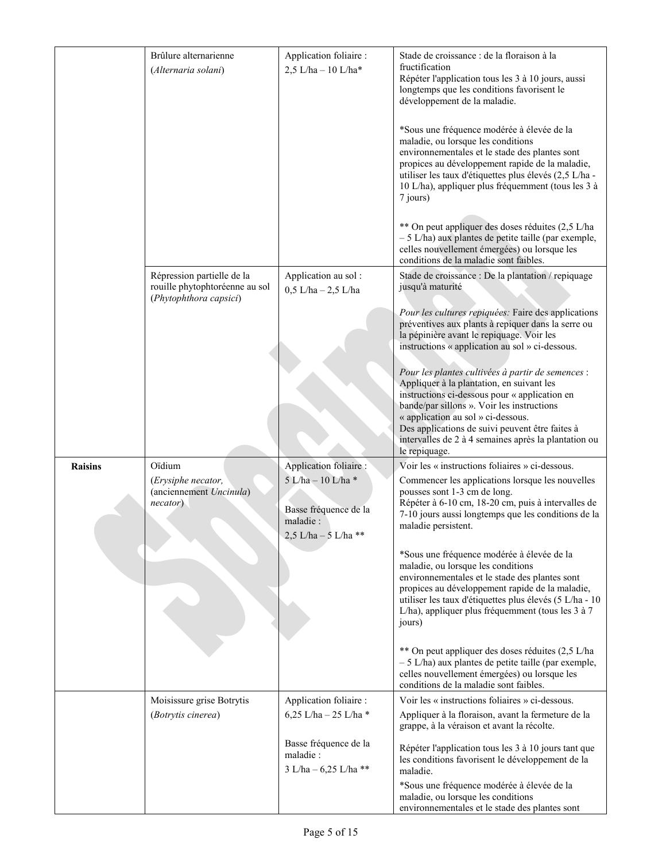|                | Brûlure alternarienne<br>(Alternaria solani)                                           | Application foliaire :<br>$2,5$ L/ha - 10 L/ha*                                                            | Stade de croissance : de la floraison à la<br>fructification<br>Répéter l'application tous les 3 à 10 jours, aussi<br>longtemps que les conditions favorisent le<br>développement de la maladie.<br>*Sous une fréquence modérée à élevée de la<br>maladie, ou lorsque les conditions<br>environnementales et le stade des plantes sont<br>propices au développement rapide de la maladie,<br>utiliser les taux d'étiquettes plus élevés (2,5 L/ha -<br>10 L/ha), appliquer plus fréquemment (tous les 3 à<br>7 jours)<br>** On peut appliquer des doses réduites (2,5 L/ha<br>- 5 L/ha) aux plantes de petite taille (par exemple,<br>celles nouvellement émergées) ou lorsque les<br>conditions de la maladie sont faibles. |
|----------------|----------------------------------------------------------------------------------------|------------------------------------------------------------------------------------------------------------|------------------------------------------------------------------------------------------------------------------------------------------------------------------------------------------------------------------------------------------------------------------------------------------------------------------------------------------------------------------------------------------------------------------------------------------------------------------------------------------------------------------------------------------------------------------------------------------------------------------------------------------------------------------------------------------------------------------------------|
|                | Répression partielle de la<br>rouille phytophtoréenne au sol<br>(Phytophthora capsici) | Application au sol:<br>$0,5$ L/ha $- 2,5$ L/ha                                                             | Stade de croissance : De la plantation / repiquage<br>jusqu'à maturité<br>Pour les cultures repiquées: Faire des applications<br>préventives aux plants à repiquer dans la serre ou<br>la pépinière avant le repiquage. Voir les                                                                                                                                                                                                                                                                                                                                                                                                                                                                                             |
|                |                                                                                        |                                                                                                            | instructions « application au sol » ci-dessous.<br>Pour les plantes cultivées à partir de semences :<br>Appliquer à la plantation, en suivant les<br>instructions ci-dessous pour « application en<br>bande/par sillons ». Voir les instructions<br>« application au sol » ci-dessous.<br>Des applications de suivi peuvent être faites à<br>intervalles de 2 à 4 semaines après la plantation ou<br>le repiquage.                                                                                                                                                                                                                                                                                                           |
| <b>Raisins</b> | Oïdium<br>(Erysiphe necator,<br>(anciennement Uncinula)<br>necator)                    | Application foliaire :<br>5 L/ha - 10 L/ha *<br>Basse fréquence de la<br>maladie :<br>2,5 L/ha - 5 L/ha ** | Voir les « instructions foliaires » ci-dessous.<br>Commencer les applications lorsque les nouvelles<br>pousses sont 1-3 cm de long.<br>Répéter à 6-10 cm, 18-20 cm, puis à intervalles de<br>7-10 jours aussi longtemps que les conditions de la<br>maladie persistent.                                                                                                                                                                                                                                                                                                                                                                                                                                                      |
|                |                                                                                        |                                                                                                            | *Sous une fréquence modérée à élevée de la<br>maladie, ou lorsque les conditions<br>environnementales et le stade des plantes sont<br>propices au développement rapide de la maladie,<br>utiliser les taux d'étiquettes plus élevés (5 L/ha - 10<br>L/ha), appliquer plus fréquemment (tous les 3 à 7<br>jours)                                                                                                                                                                                                                                                                                                                                                                                                              |
|                |                                                                                        |                                                                                                            | ** On peut appliquer des doses réduites (2,5 L/ha<br>$-5$ L/ha) aux plantes de petite taille (par exemple,<br>celles nouvellement émergées) ou lorsque les<br>conditions de la maladie sont faibles.                                                                                                                                                                                                                                                                                                                                                                                                                                                                                                                         |
|                | Moisissure grise Botrytis<br>(Botrytis cinerea)                                        | Application foliaire :<br>6,25 L/ha - 25 L/ha *                                                            | Voir les « instructions foliaires » ci-dessous.<br>Appliquer à la floraison, avant la fermeture de la<br>grappe, à la véraison et avant la récolte.                                                                                                                                                                                                                                                                                                                                                                                                                                                                                                                                                                          |
|                |                                                                                        | Basse fréquence de la<br>maladie :<br>3 L/ha - 6,25 L/ha **                                                | Répéter l'application tous les 3 à 10 jours tant que<br>les conditions favorisent le développement de la<br>maladie.<br>*Sous une fréquence modérée à élevée de la<br>maladie, ou lorsque les conditions<br>environnementales et le stade des plantes sont                                                                                                                                                                                                                                                                                                                                                                                                                                                                   |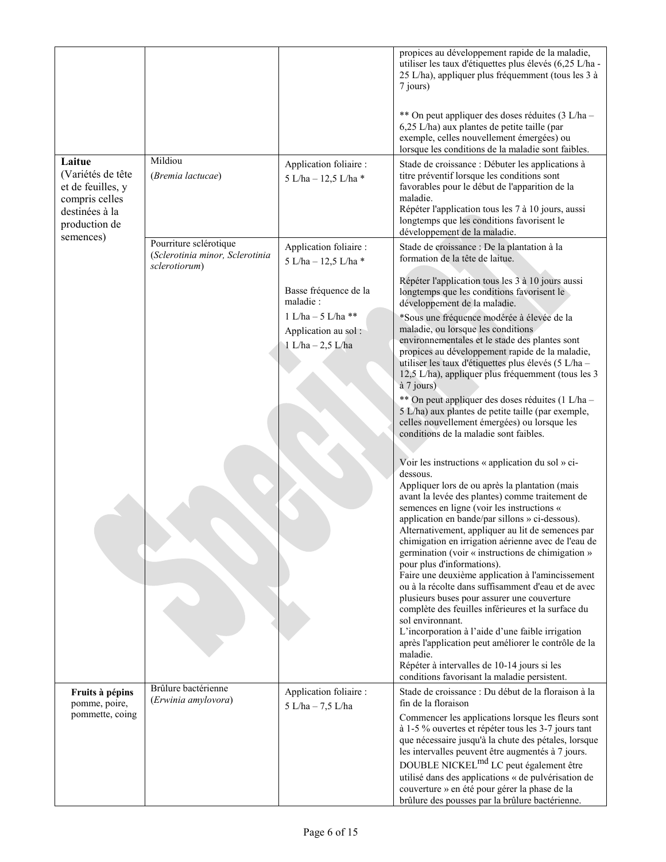|                                                                                                                    |                                                                            |                                                                  | propices au développement rapide de la maladie,<br>utiliser les taux d'étiquettes plus élevés (6,25 L/ha -<br>25 L/ha), appliquer plus fréquemment (tous les 3 à<br>7 jours)<br>** On peut appliquer des doses réduites (3 L/ha –<br>6,25 L/ha) aux plantes de petite taille (par<br>exemple, celles nouvellement émergées) ou<br>lorsque les conditions de la maladie sont faibles.                                                                                                 |
|--------------------------------------------------------------------------------------------------------------------|----------------------------------------------------------------------------|------------------------------------------------------------------|--------------------------------------------------------------------------------------------------------------------------------------------------------------------------------------------------------------------------------------------------------------------------------------------------------------------------------------------------------------------------------------------------------------------------------------------------------------------------------------|
| Laitue<br>(Variétés de tête<br>et de feuilles, y<br>compris celles<br>destinées à la<br>production de<br>semences) | Mildiou<br>(Bremia lactucae)                                               | Application foliaire :<br>5 L/ha - 12,5 L/ha *                   | Stade de croissance : Débuter les applications à<br>titre préventif lorsque les conditions sont<br>favorables pour le début de l'apparition de la<br>maladie.<br>Répéter l'application tous les 7 à 10 jours, aussi<br>longtemps que les conditions favorisent le<br>développement de la maladie.                                                                                                                                                                                    |
|                                                                                                                    | Pourriture sclérotique<br>(Sclerotinia minor, Sclerotinia<br>sclerotiorum) | Application foliaire :<br>5 L/ha - 12,5 L/ha *                   | Stade de croissance : De la plantation à la<br>formation de la tête de laitue.                                                                                                                                                                                                                                                                                                                                                                                                       |
|                                                                                                                    |                                                                            | Basse fréquence de la<br>maladie :                               | Répéter l'application tous les 3 à 10 jours aussi<br>longtemps que les conditions favorisent le<br>développement de la maladie.                                                                                                                                                                                                                                                                                                                                                      |
|                                                                                                                    |                                                                            | $1 L/ha - 5 L/ha **$<br>Application au sol:<br>1 L/ha - 2,5 L/ha | *Sous une fréquence modérée à élevée de la<br>maladie, ou lorsque les conditions<br>environnementales et le stade des plantes sont<br>propices au développement rapide de la maladie,<br>utiliser les taux d'étiquettes plus élevés (5 L/ha -<br>12,5 L/ha), appliquer plus fréquemment (tous les 3<br>à 7 jours)                                                                                                                                                                    |
|                                                                                                                    |                                                                            |                                                                  | ** On peut appliquer des doses réduites (1 L/ha -<br>5 L/ha) aux plantes de petite taille (par exemple,<br>celles nouvellement émergées) ou lorsque les<br>conditions de la maladie sont faibles.                                                                                                                                                                                                                                                                                    |
|                                                                                                                    |                                                                            |                                                                  | Voir les instructions « application du sol » ci-<br>dessous.<br>Appliquer lors de ou après la plantation (mais<br>avant la levée des plantes) comme traitement de<br>semences en ligne (voir les instructions «<br>application en bande/par sillons » ci-dessous).<br>Alternativement, appliquer au lit de semences par<br>chimigation en irrigation aérienne avec de l'eau de<br>germination (voir « instructions de chimigation »                                                  |
|                                                                                                                    |                                                                            |                                                                  | pour plus d'informations).<br>Faire une deuxième application à l'amincissement<br>ou à la récolte dans suffisamment d'eau et de avec<br>plusieurs buses pour assurer une couverture<br>complète des feuilles inférieures et la surface du<br>sol environnant.<br>L'incorporation à l'aide d'une faible irrigation<br>après l'application peut améliorer le contrôle de la<br>maladie.<br>Répéter à intervalles de 10-14 jours si les<br>conditions favorisant la maladie persistent. |
| Fruits à pépins<br>pomme, poire,<br>pommette, coing                                                                | Brûlure bactérienne<br>(Erwinia amylovora)                                 | Application foliaire :<br>5 L/ha - 7,5 L/ha                      | Stade de croissance : Du début de la floraison à la<br>fin de la floraison<br>Commencer les applications lorsque les fleurs sont<br>à 1-5 % ouvertes et répéter tous les 3-7 jours tant<br>que nécessaire jusqu'à la chute des pétales, lorsque<br>les intervalles peuvent être augmentés à 7 jours.                                                                                                                                                                                 |
|                                                                                                                    |                                                                            |                                                                  | DOUBLE NICKEL <sup>md</sup> LC peut également être<br>utilisé dans des applications « de pulvérisation de<br>couverture » en été pour gérer la phase de la<br>brûlure des pousses par la brûlure bactérienne.                                                                                                                                                                                                                                                                        |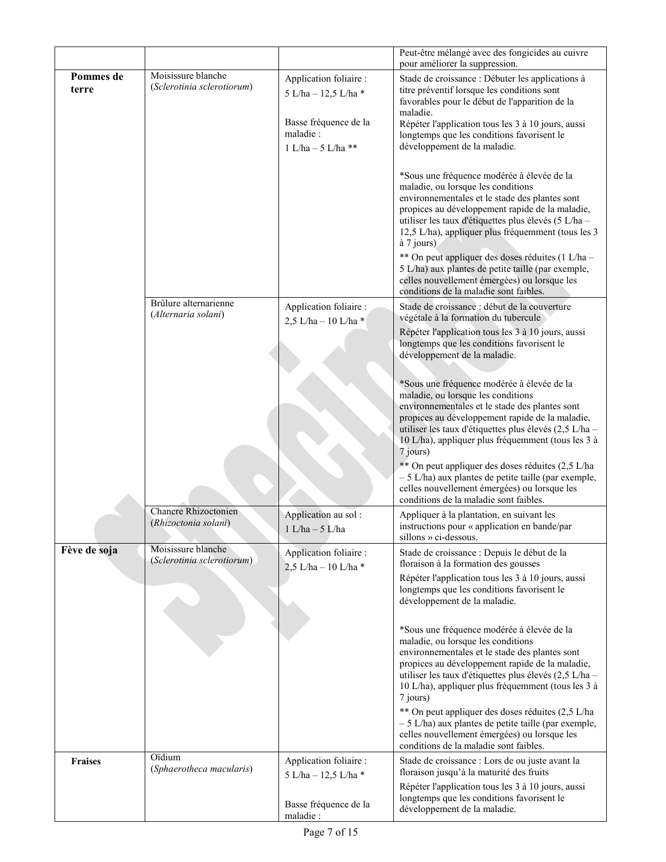|                    |                                                     | Peut-être mélangé avec des fongicides au cuivre<br>pour améliorer la suppression.                           |                                                                                                                                                                                                                                                                                                                                                                                                                                 |  |  |  |
|--------------------|-----------------------------------------------------|-------------------------------------------------------------------------------------------------------------|---------------------------------------------------------------------------------------------------------------------------------------------------------------------------------------------------------------------------------------------------------------------------------------------------------------------------------------------------------------------------------------------------------------------------------|--|--|--|
| Pommes de<br>terre | Moisissure blanche<br>(Sclerotinia sclerotiorum)    | Application foliaire :<br>5 L/ha - 12,5 L/ha *<br>Basse fréquence de la<br>maladie:<br>$1$ L/ha - 5 L/ha ** | Stade de croissance : Débuter les applications à<br>titre préventif lorsque les conditions sont<br>favorables pour le début de l'apparition de la<br>maladie.<br>Répéter l'application tous les 3 à 10 jours, aussi<br>longtemps que les conditions favorisent le<br>développement de la maladie.<br>*Sous une fréquence modérée à élevée de la<br>maladie, ou lorsque les conditions                                           |  |  |  |
|                    |                                                     |                                                                                                             | environnementales et le stade des plantes sont<br>propices au développement rapide de la maladie,<br>utiliser les taux d'étiquettes plus élevés (5 L/ha -<br>12,5 L/ha), appliquer plus fréquemment (tous les 3<br>à 7 jours)<br>** On peut appliquer des doses réduites (1 L/ha -<br>5 L/ha) aux plantes de petite taille (par exemple,                                                                                        |  |  |  |
|                    |                                                     |                                                                                                             | celles nouvellement émergées) ou lorsque les<br>conditions de la maladie sont faibles.                                                                                                                                                                                                                                                                                                                                          |  |  |  |
|                    | Brûlure alternarienne<br>(Alternaria solani)        | Application foliaire :<br>2,5 L/ha - 10 L/ha *                                                              | Stade de croissance : début de la couverture<br>végétale à la formation du tubercule                                                                                                                                                                                                                                                                                                                                            |  |  |  |
|                    |                                                     |                                                                                                             | Répéter l'application tous les 3 à 10 jours, aussi<br>longtemps que les conditions favorisent le<br>développement de la maladie.                                                                                                                                                                                                                                                                                                |  |  |  |
|                    |                                                     |                                                                                                             | *Sous une fréquence modérée à élevée de la<br>maladie, ou lorsque les conditions<br>environnementales et le stade des plantes sont<br>propices au développement rapide de la maladie,<br>utiliser les taux d'étiquettes plus élevés (2,5 L/ha -<br>10 L/ha), appliquer plus fréquemment (tous les 3 à<br>7 jours)                                                                                                               |  |  |  |
|                    |                                                     |                                                                                                             | ** On peut appliquer des doses réduites (2,5 L/ha<br>$-5$ L/ha) aux plantes de petite taille (par exemple,<br>celles nouvellement émergées) ou lorsque les<br>conditions de la maladie sont faibles.                                                                                                                                                                                                                            |  |  |  |
|                    | <b>Chancre Rhizoctonien</b><br>(Rhizoctonia solani) | Application au sol:<br>$1$ L/ha $-$ 5 L/ha                                                                  | Appliquer à la plantation, en suivant les<br>instructions pour « application en bande/par<br>sillons » ci-dessous.                                                                                                                                                                                                                                                                                                              |  |  |  |
| Fève de soja       | Moisissure blanche<br>(Sclerotinia sclerotiorum)    | Application foliaire :<br>2,5 L/ha - 10 L/ha *                                                              | Stade de croissance : Depuis le début de la<br>floraison à la formation des gousses                                                                                                                                                                                                                                                                                                                                             |  |  |  |
|                    |                                                     |                                                                                                             | Répéter l'application tous les 3 à 10 jours, aussi<br>longtemps que les conditions favorisent le<br>développement de la maladie.                                                                                                                                                                                                                                                                                                |  |  |  |
|                    |                                                     |                                                                                                             | *Sous une fréquence modérée à élevée de la<br>maladie, ou lorsque les conditions<br>environnementales et le stade des plantes sont<br>propices au développement rapide de la maladie,<br>utiliser les taux d'étiquettes plus élevés (2,5 L/ha -<br>10 L/ha), appliquer plus fréquemment (tous les 3 à<br>7 jours)<br>** On peut appliquer des doses réduites (2,5 L/ha<br>$-5$ L/ha) aux plantes de petite taille (par exemple, |  |  |  |
|                    |                                                     |                                                                                                             | celles nouvellement émergées) ou lorsque les<br>conditions de la maladie sont faibles.                                                                                                                                                                                                                                                                                                                                          |  |  |  |
| <b>Fraises</b>     | Oïdium<br>(Sphaerotheca macularis)                  | Application foliaire :<br>5 L/ha - 12,5 L/ha *                                                              | Stade de croissance : Lors de ou juste avant la<br>floraison jusqu'à la maturité des fruits                                                                                                                                                                                                                                                                                                                                     |  |  |  |
|                    |                                                     | Basse fréquence de la<br>maladie:                                                                           | Répéter l'application tous les 3 à 10 jours, aussi<br>longtemps que les conditions favorisent le<br>développement de la maladie.                                                                                                                                                                                                                                                                                                |  |  |  |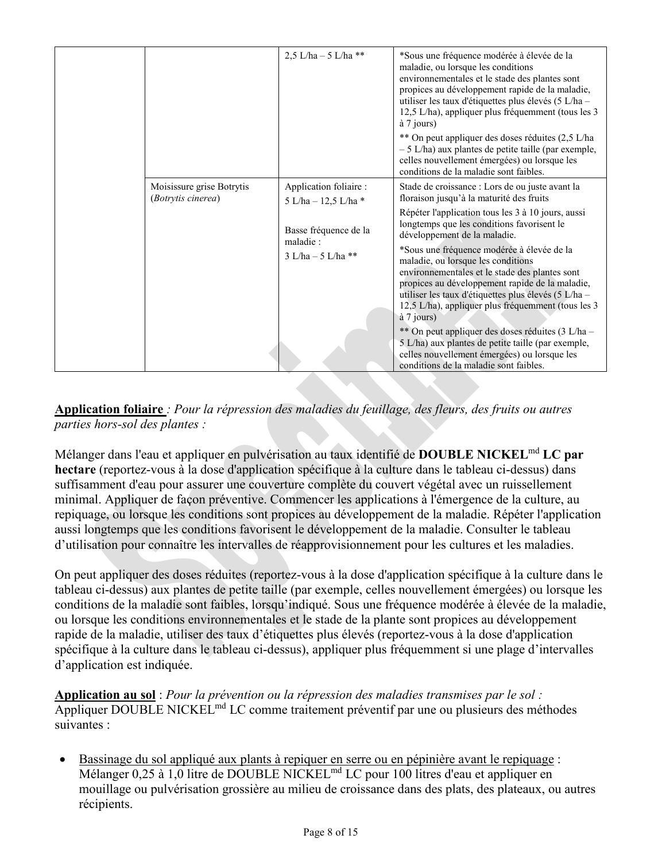|                                                 | 2.5 L/ha $-$ 5 L/ha **                                     | *Sous une fréquence modérée à élevée de la<br>maladie, ou lorsque les conditions<br>environnementales et le stade des plantes sont<br>propices au développement rapide de la maladie,<br>utiliser les taux d'étiquettes plus élevés (5 L/ha -<br>12,5 L/ha), appliquer plus fréquemment (tous les 3<br>$\hat{a}$ 7 jours)<br>** On peut appliquer des doses réduites (2,5 L/ha<br>$-5$ L/ha) aux plantes de petite taille (par exemple,<br>celles nouvellement émergées) ou lorsque les |
|-------------------------------------------------|------------------------------------------------------------|-----------------------------------------------------------------------------------------------------------------------------------------------------------------------------------------------------------------------------------------------------------------------------------------------------------------------------------------------------------------------------------------------------------------------------------------------------------------------------------------|
| Moisissure grise Botrytis<br>(Botrytis cinerea) | Application foliaire :<br>5 L/ha - 12,5 L/ha *             | conditions de la maladie sont faibles.<br>Stade de croissance : Lors de ou juste avant la<br>floraison jusqu'à la maturité des fruits                                                                                                                                                                                                                                                                                                                                                   |
|                                                 | Basse fréquence de la<br>maladie:<br>$3$ L/ha $-5$ L/ha ** | Répéter l'application tous les 3 à 10 jours, aussi<br>longtemps que les conditions favorisent le<br>développement de la maladie.<br>*Sous une fréquence modérée à élevée de la<br>maladie, ou lorsque les conditions<br>environnementales et le stade des plantes sont<br>propices au développement rapide de la maladie,<br>utiliser les taux d'étiquettes plus élevés (5 L/ha -<br>12,5 L/ha), appliquer plus fréquemment (tous les 3<br>$\hat{a}$ 7 jours)                           |
|                                                 |                                                            | ** On peut appliquer des doses réduites (3 L/ha -<br>5 L/ha) aux plantes de petite taille (par exemple,<br>celles nouvellement émergées) ou lorsque les<br>conditions de la maladie sont faibles.                                                                                                                                                                                                                                                                                       |

#### **Application foliaire** *: Pour la répression des maladies du feuillage, des fleurs, des fruits ou autres parties hors-sol des plantes :*

Mélanger dans l'eau et appliquer en pulvérisation au taux identifié de **DOUBLE NICKEL**md **LC par hectare** (reportez-vous à la dose d'application spécifique à la culture dans le tableau ci-dessus) dans suffisamment d'eau pour assurer une couverture complète du couvert végétal avec un ruissellement minimal. Appliquer de façon préventive. Commencer les applications à l'émergence de la culture, au repiquage, ou lorsque les conditions sont propices au développement de la maladie. Répéter l'application aussi longtemps que les conditions favorisent le développement de la maladie. Consulter le tableau d'utilisation pour connaître les intervalles de réapprovisionnement pour les cultures et les maladies.

On peut appliquer des doses réduites (reportez-vous à la dose d'application spécifique à la culture dans le tableau ci-dessus) aux plantes de petite taille (par exemple, celles nouvellement émergées) ou lorsque les conditions de la maladie sont faibles, lorsqu'indiqué. Sous une fréquence modérée à élevée de la maladie, ou lorsque les conditions environnementales et le stade de la plante sont propices au développement rapide de la maladie, utiliser des taux d'étiquettes plus élevés (reportez-vous à la dose d'application spécifique à la culture dans le tableau ci-dessus), appliquer plus fréquemment si une plage d'intervalles d'application est indiquée.

**Application au sol** : *Pour la prévention ou la répression des maladies transmises par le sol :* Appliquer DOUBLE NICKEL<sup>md</sup> LC comme traitement préventif par une ou plusieurs des méthodes suivantes :

• Bassinage du sol appliqué aux plants à repiquer en serre ou en pépinière avant le repiquage : Mélanger 0,25 à 1,0 litre de DOUBLE NICKELmd LC pour 100 litres d'eau et appliquer en mouillage ou pulvérisation grossière au milieu de croissance dans des plats, des plateaux, ou autres récipients.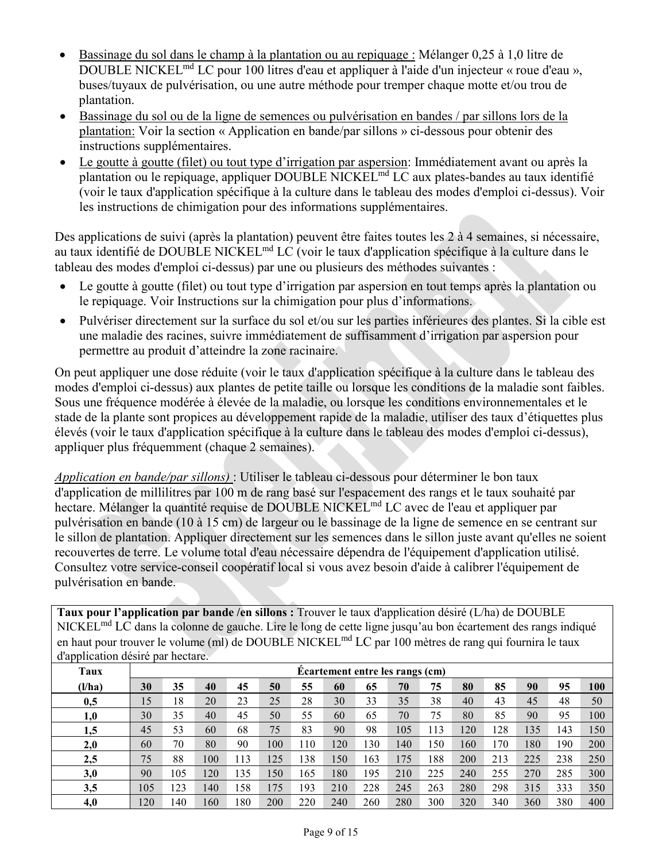- Bassinage du sol dans le champ à la plantation ou au repiquage : Mélanger 0,25 à 1,0 litre de DOUBLE NICKELmd LC pour 100 litres d'eau et appliquer à l'aide d'un injecteur « roue d'eau », buses/tuyaux de pulvérisation, ou une autre méthode pour tremper chaque motte et/ou trou de plantation.
- Bassinage du sol ou de la ligne de semences ou pulvérisation en bandes / par sillons lors de la plantation: Voir la section « Application en bande/par sillons » ci-dessous pour obtenir des instructions supplémentaires.
- Le goutte à goutte (filet) ou tout type d'irrigation par aspersion: Immédiatement avant ou après la plantation ou le repiquage, appliquer DOUBLE NICKEL<sup>md</sup> LC aux plates-bandes au taux identifié (voir le taux d'application spécifique à la culture dans le tableau des modes d'emploi ci-dessus). Voir les instructions de chimigation pour des informations supplémentaires.

Des applications de suivi (après la plantation) peuvent être faites toutes les 2 à 4 semaines, si nécessaire, au taux identifié de DOUBLE NICKEL<sup>md</sup> LC (voir le taux d'application spécifique à la culture dans le tableau des modes d'emploi ci-dessus) par une ou plusieurs des méthodes suivantes :

- Le goutte à goutte (filet) ou tout type d'irrigation par aspersion en tout temps après la plantation ou le repiquage. Voir Instructions sur la chimigation pour plus d'informations.
- Pulvériser directement sur la surface du sol et/ou sur les parties inférieures des plantes. Si la cible est une maladie des racines, suivre immédiatement de suffisamment d'irrigation par aspersion pour permettre au produit d'atteindre la zone racinaire.

On peut appliquer une dose réduite (voir le taux d'application spécifique à la culture dans le tableau des modes d'emploi ci-dessus) aux plantes de petite taille ou lorsque les conditions de la maladie sont faibles. Sous une fréquence modérée à élevée de la maladie, ou lorsque les conditions environnementales et le stade de la plante sont propices au développement rapide de la maladie, utiliser des taux d'étiquettes plus élevés (voir le taux d'application spécifique à la culture dans le tableau des modes d'emploi ci-dessus), appliquer plus fréquemment (chaque 2 semaines).

*Application en bande/par sillons)* : Utiliser le tableau ci-dessous pour déterminer le bon taux d'application de millilitres par 100 m de rang basé sur l'espacement des rangs et le taux souhaité par hectare. Mélanger la quantité requise de DOUBLE NICKEL<sup>md</sup> LC avec de l'eau et appliquer par pulvérisation en bande (10 à 15 cm) de largeur ou le bassinage de la ligne de semence en se centrant sur le sillon de plantation. Appliquer directement sur les semences dans le sillon juste avant qu'elles ne soient recouvertes de terre. Le volume total d'eau nécessaire dépendra de l'équipement d'application utilisé. Consultez votre service-conseil coopératif local si vous avez besoin d'aide à calibrer l'équipement de pulvérisation en bande.

**Taux pour l'application par bande /en sillons :** Trouver le taux d'application désiré (L/ha) de DOUBLE NICKELmd LC dans la colonne de gauche. Lire le long de cette ligne jusqu'au bon écartement des rangs indiqué en haut pour trouver le volume (ml) de DOUBLE NICKEL<sup>md</sup> LC par 100 mètres de rang qui fournira le taux d'application désiré par hectare.

| Taux   | Ecartement entre les rangs (cm) |     |           |     |     |     |     |     |     |     |     |     |     |     |     |
|--------|---------------------------------|-----|-----------|-----|-----|-----|-----|-----|-----|-----|-----|-----|-----|-----|-----|
| (l/ha) | 30                              | 35  | 40        | 45  | 50  | 55  | 60  | 65  | 70  | 75  | 80  | 85  | 90  | 95  | 100 |
| 0,5    | 15                              | 18  | 20        | 23  | 25  | 28  | 30  | 33  | 35  | 38  | 40  | 43  | 45  | 48  | 50  |
| 1,0    | 30                              | 35  | 40        | 45  | 50  | 55  | 60  | 65  | 70  | 75  | 80  | 85  | 90  | 95  | 100 |
| 1,5    | 45                              | 53  | 60        | 68  | 75  | 83  | 90  | 98  | 105 | 113 | 120 | 128 | 135 | 143 | 150 |
| 2,0    | 60                              | 70  | 80        | 90  | 100 | 110 | 120 | 130 | 140 | 150 | 160 | 170 | 180 | 190 | 200 |
| 2,5    | 75                              | 88  | 100       | 113 | 125 | 138 | 150 | 163 | 175 | 188 | 200 | 213 | 225 | 238 | 250 |
| 3,0    | 90                              | 105 | <b>20</b> | 135 | 150 | 165 | 180 | 195 | 210 | 225 | 240 | 255 | 270 | 285 | 300 |
| 3,5    | 105                             | 123 | 140       | 158 | 175 | 193 | 210 | 228 | 245 | 263 | 280 | 298 | 315 | 333 | 350 |
| 4,0    | 120                             | 140 | 160       | 180 | 200 | 220 | 240 | 260 | 280 | 300 | 320 | 340 | 360 | 380 | 400 |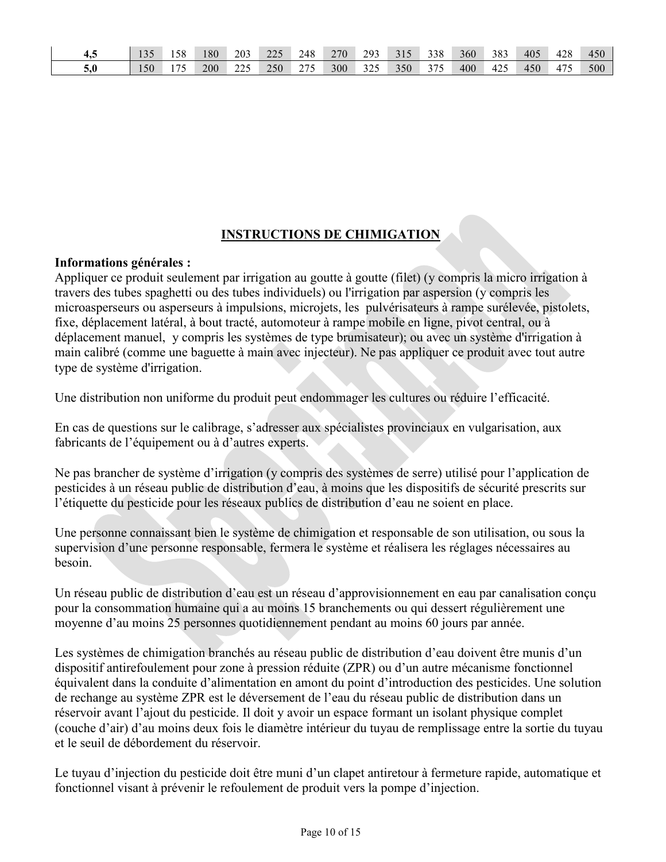| ᠇…  |     | 158 | 80  | 203 | 225 | 248 | 270 | 293 | 315 | 338 | 360 | 383 | 405 | 428 | 450 |
|-----|-----|-----|-----|-----|-----|-----|-----|-----|-----|-----|-----|-----|-----|-----|-----|
| 5,0 | 150 | 175 | 200 | 225 | 250 | 275 | 300 | 325 | 350 | 375 | 400 | 425 | 450 | 475 | 500 |

## **INSTRUCTIONS DE CHIMIGATION**

#### **Informations générales :**

Appliquer ce produit seulement par irrigation au goutte à goutte (filet) (y compris la micro irrigation à travers des tubes spaghetti ou des tubes individuels) ou l'irrigation par aspersion (y compris les microasperseurs ou asperseurs à impulsions, microjets, les pulvérisateurs à rampe surélevée, pistolets, fixe, déplacement latéral, à bout tracté, automoteur à rampe mobile en ligne, pivot central, ou à déplacement manuel, y compris les systèmes de type brumisateur); ou avec un système d'irrigation à main calibré (comme une baguette à main avec injecteur). Ne pas appliquer ce produit avec tout autre type de système d'irrigation.

Une distribution non uniforme du produit peut endommager les cultures ou réduire l'efficacité.

En cas de questions sur le calibrage, s'adresser aux spécialistes provinciaux en vulgarisation, aux fabricants de l'équipement ou à d'autres experts.

Ne pas brancher de système d'irrigation (y compris des systèmes de serre) utilisé pour l'application de pesticides à un réseau public de distribution d'eau, à moins que les dispositifs de sécurité prescrits sur l'étiquette du pesticide pour les réseaux publics de distribution d'eau ne soient en place.

Une personne connaissant bien le système de chimigation et responsable de son utilisation, ou sous la supervision d'une personne responsable, fermera le système et réalisera les réglages nécessaires au besoin.

Un réseau public de distribution d'eau est un réseau d'approvisionnement en eau par canalisation conçu pour la consommation humaine qui a au moins 15 branchements ou qui dessert régulièrement une moyenne d'au moins 25 personnes quotidiennement pendant au moins 60 jours par année.

Les systèmes de chimigation branchés au réseau public de distribution d'eau doivent être munis d'un dispositif antirefoulement pour zone à pression réduite (ZPR) ou d'un autre mécanisme fonctionnel équivalent dans la conduite d'alimentation en amont du point d'introduction des pesticides. Une solution de rechange au système ZPR est le déversement de l'eau du réseau public de distribution dans un réservoir avant l'ajout du pesticide. Il doit y avoir un espace formant un isolant physique complet (couche d'air) d'au moins deux fois le diamètre intérieur du tuyau de remplissage entre la sortie du tuyau et le seuil de débordement du réservoir.

Le tuyau d'injection du pesticide doit être muni d'un clapet antiretour à fermeture rapide, automatique et fonctionnel visant à prévenir le refoulement de produit vers la pompe d'injection.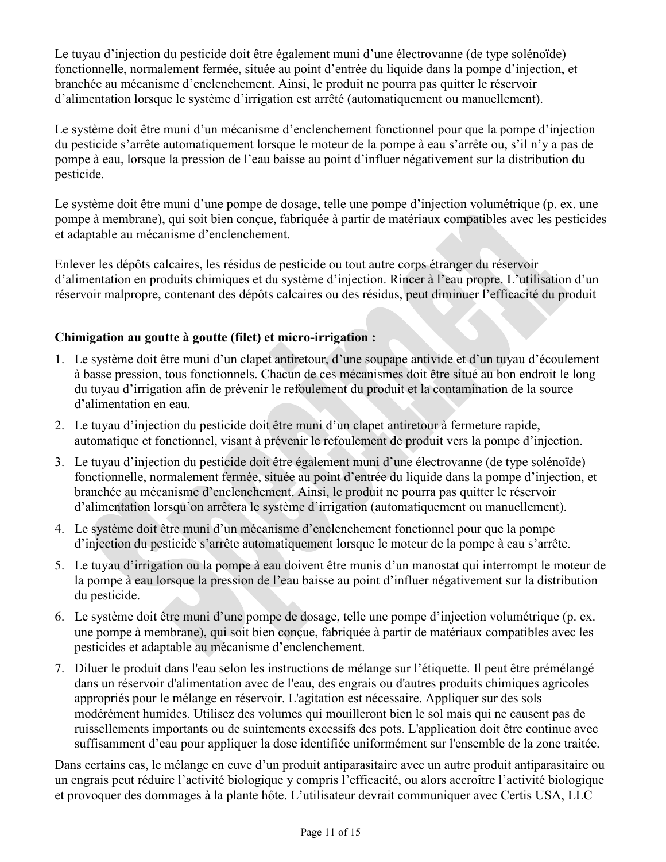Le tuyau d'injection du pesticide doit être également muni d'une électrovanne (de type solénoïde) fonctionnelle, normalement fermée, située au point d'entrée du liquide dans la pompe d'injection, et branchée au mécanisme d'enclenchement. Ainsi, le produit ne pourra pas quitter le réservoir d'alimentation lorsque le système d'irrigation est arrêté (automatiquement ou manuellement).

Le système doit être muni d'un mécanisme d'enclenchement fonctionnel pour que la pompe d'injection du pesticide s'arrête automatiquement lorsque le moteur de la pompe à eau s'arrête ou, s'il n'y a pas de pompe à eau, lorsque la pression de l'eau baisse au point d'influer négativement sur la distribution du pesticide.

Le système doit être muni d'une pompe de dosage, telle une pompe d'injection volumétrique (p. ex. une pompe à membrane), qui soit bien conçue, fabriquée à partir de matériaux compatibles avec les pesticides et adaptable au mécanisme d'enclenchement.

Enlever les dépôts calcaires, les résidus de pesticide ou tout autre corps étranger du réservoir d'alimentation en produits chimiques et du système d'injection. Rincer à l'eau propre. L'utilisation d'un réservoir malpropre, contenant des dépôts calcaires ou des résidus, peut diminuer l'efficacité du produit

## **Chimigation au goutte à goutte (filet) et micro-irrigation :**

- 1. Le système doit être muni d'un clapet antiretour, d'une soupape antivide et d'un tuyau d'écoulement à basse pression, tous fonctionnels. Chacun de ces mécanismes doit être situé au bon endroit le long du tuyau d'irrigation afin de prévenir le refoulement du produit et la contamination de la source d'alimentation en eau.
- 2. Le tuyau d'injection du pesticide doit être muni d'un clapet antiretour à fermeture rapide, automatique et fonctionnel, visant à prévenir le refoulement de produit vers la pompe d'injection.
- 3. Le tuyau d'injection du pesticide doit être également muni d'une électrovanne (de type solénoïde) fonctionnelle, normalement fermée, située au point d'entrée du liquide dans la pompe d'injection, et branchée au mécanisme d'enclenchement. Ainsi, le produit ne pourra pas quitter le réservoir d'alimentation lorsqu'on arrêtera le système d'irrigation (automatiquement ou manuellement).
- 4. Le système doit être muni d'un mécanisme d'enclenchement fonctionnel pour que la pompe d'injection du pesticide s'arrête automatiquement lorsque le moteur de la pompe à eau s'arrête.
- 5. Le tuyau d'irrigation ou la pompe à eau doivent être munis d'un manostat qui interrompt le moteur de la pompe à eau lorsque la pression de l'eau baisse au point d'influer négativement sur la distribution du pesticide.
- 6. Le système doit être muni d'une pompe de dosage, telle une pompe d'injection volumétrique (p. ex. une pompe à membrane), qui soit bien conçue, fabriquée à partir de matériaux compatibles avec les pesticides et adaptable au mécanisme d'enclenchement.
- 7. Diluer le produit dans l'eau selon les instructions de mélange sur l'étiquette. Il peut être prémélangé dans un réservoir d'alimentation avec de l'eau, des engrais ou d'autres produits chimiques agricoles appropriés pour le mélange en réservoir. L'agitation est nécessaire. Appliquer sur des sols modérément humides. Utilisez des volumes qui mouilleront bien le sol mais qui ne causent pas de ruissellements importants ou de suintements excessifs des pots. L'application doit être continue avec suffisamment d'eau pour appliquer la dose identifiée uniformément sur l'ensemble de la zone traitée.

Dans certains cas, le mélange en cuve d'un produit antiparasitaire avec un autre produit antiparasitaire ou un engrais peut réduire l'activité biologique y compris l'efficacité, ou alors accroître l'activité biologique et provoquer des dommages à la plante hôte. L'utilisateur devrait communiquer avec Certis USA, LLC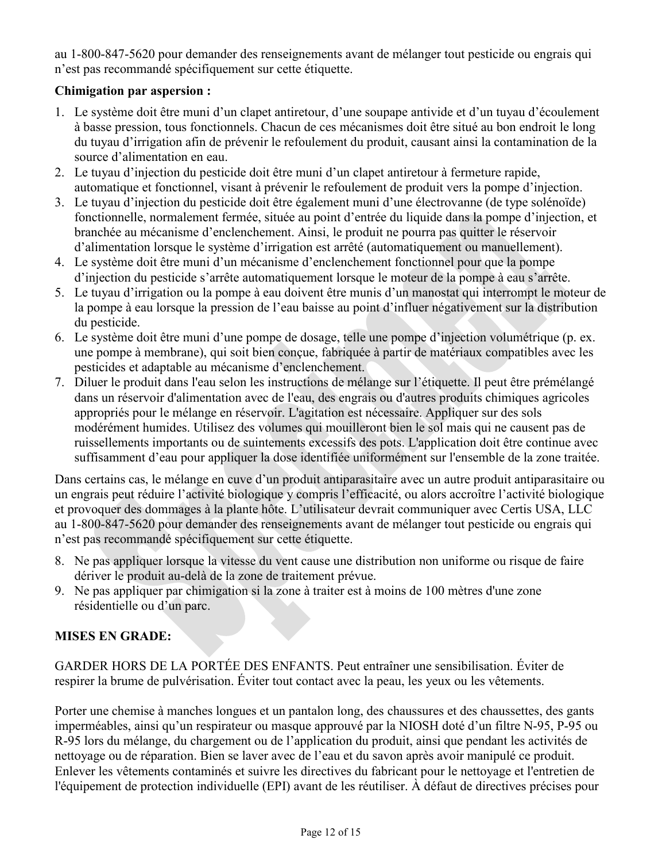au 1-800-847-5620 pour demander des renseignements avant de mélanger tout pesticide ou engrais qui n'est pas recommandé spécifiquement sur cette étiquette.

#### **Chimigation par aspersion :**

- 1. Le système doit être muni d'un clapet antiretour, d'une soupape antivide et d'un tuyau d'écoulement à basse pression, tous fonctionnels. Chacun de ces mécanismes doit être situé au bon endroit le long du tuyau d'irrigation afin de prévenir le refoulement du produit, causant ainsi la contamination de la source d'alimentation en eau.
- 2. Le tuyau d'injection du pesticide doit être muni d'un clapet antiretour à fermeture rapide, automatique et fonctionnel, visant à prévenir le refoulement de produit vers la pompe d'injection.
- 3. Le tuyau d'injection du pesticide doit être également muni d'une électrovanne (de type solénoïde) fonctionnelle, normalement fermée, située au point d'entrée du liquide dans la pompe d'injection, et branchée au mécanisme d'enclenchement. Ainsi, le produit ne pourra pas quitter le réservoir d'alimentation lorsque le système d'irrigation est arrêté (automatiquement ou manuellement).
- 4. Le système doit être muni d'un mécanisme d'enclenchement fonctionnel pour que la pompe d'injection du pesticide s'arrête automatiquement lorsque le moteur de la pompe à eau s'arrête.
- 5. Le tuyau d'irrigation ou la pompe à eau doivent être munis d'un manostat qui interrompt le moteur de la pompe à eau lorsque la pression de l'eau baisse au point d'influer négativement sur la distribution du pesticide.
- 6. Le système doit être muni d'une pompe de dosage, telle une pompe d'injection volumétrique (p. ex. une pompe à membrane), qui soit bien conçue, fabriquée à partir de matériaux compatibles avec les pesticides et adaptable au mécanisme d'enclenchement.
- 7. Diluer le produit dans l'eau selon les instructions de mélange sur l'étiquette. Il peut être prémélangé dans un réservoir d'alimentation avec de l'eau, des engrais ou d'autres produits chimiques agricoles appropriés pour le mélange en réservoir. L'agitation est nécessaire. Appliquer sur des sols modérément humides. Utilisez des volumes qui mouilleront bien le sol mais qui ne causent pas de ruissellements importants ou de suintements excessifs des pots. L'application doit être continue avec suffisamment d'eau pour appliquer la dose identifiée uniformément sur l'ensemble de la zone traitée.

Dans certains cas, le mélange en cuve d'un produit antiparasitaire avec un autre produit antiparasitaire ou un engrais peut réduire l'activité biologique y compris l'efficacité, ou alors accroître l'activité biologique et provoquer des dommages à la plante hôte. L'utilisateur devrait communiquer avec Certis USA, LLC au 1-800-847-5620 pour demander des renseignements avant de mélanger tout pesticide ou engrais qui n'est pas recommandé spécifiquement sur cette étiquette.

- 8. Ne pas appliquer lorsque la vitesse du vent cause une distribution non uniforme ou risque de faire dériver le produit au-delà de la zone de traitement prévue.
- 9. Ne pas appliquer par chimigation si la zone à traiter est à moins de 100 mètres d'une zone résidentielle ou d'un parc.

#### **MISES EN GRADE:**

GARDER HORS DE LA PORTÉE DES ENFANTS. Peut entraîner une sensibilisation. Éviter de respirer la brume de pulvérisation. Éviter tout contact avec la peau, les yeux ou les vêtements.

Porter une chemise à manches longues et un pantalon long, des chaussures et des chaussettes, des gants imperméables, ainsi qu'un respirateur ou masque approuvé par la NIOSH doté d'un filtre N-95, P-95 ou R-95 lors du mélange, du chargement ou de l'application du produit, ainsi que pendant les activités de nettoyage ou de réparation. Bien se laver avec de l'eau et du savon après avoir manipulé ce produit. Enlever les vêtements contaminés et suivre les directives du fabricant pour le nettoyage et l'entretien de l'équipement de protection individuelle (EPI) avant de les réutiliser. À défaut de directives précises pour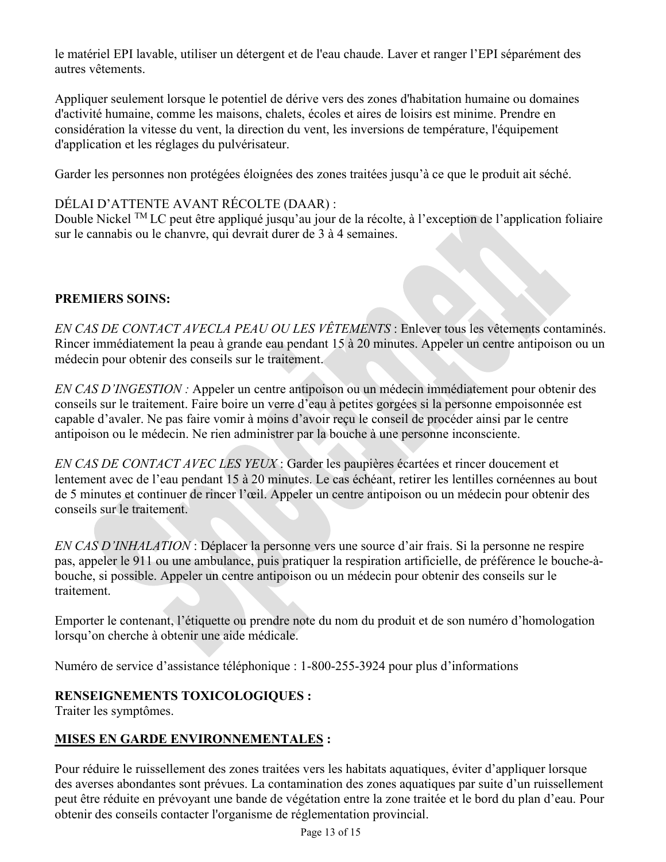le matériel EPI lavable, utiliser un détergent et de l'eau chaude. Laver et ranger l'EPI séparément des autres vêtements.

Appliquer seulement lorsque le potentiel de dérive vers des zones d'habitation humaine ou domaines d'activité humaine, comme les maisons, chalets, écoles et aires de loisirs est minime. Prendre en considération la vitesse du vent, la direction du vent, les inversions de température, l'équipement d'application et les réglages du pulvérisateur.

Garder les personnes non protégées éloignées des zones traitées jusqu'à ce que le produit ait séché.

## DÉLAI D'ATTENTE AVANT RÉCOLTE (DAAR) :

Double Nickel TM LC peut être appliqué jusqu'au jour de la récolte, à l'exception de l'application foliaire sur le cannabis ou le chanvre, qui devrait durer de 3 à 4 semaines.

## **PREMIERS SOINS:**

*EN CAS DE CONTACT AVECLA PEAU OU LES VÊTEMENTS* : Enlever tous les vêtements contaminés. Rincer immédiatement la peau à grande eau pendant 15 à 20 minutes. Appeler un centre antipoison ou un médecin pour obtenir des conseils sur le traitement.

*EN CAS D'INGESTION :* Appeler un centre antipoison ou un médecin immédiatement pour obtenir des conseils sur le traitement. Faire boire un verre d'eau à petites gorgées si la personne empoisonnée est capable d'avaler. Ne pas faire vomir à moins d'avoir reçu le conseil de procéder ainsi par le centre antipoison ou le médecin. Ne rien administrer par la bouche à une personne inconsciente.

*EN CAS DE CONTACT AVEC LES YEUX* : Garder les paupières écartées et rincer doucement et lentement avec de l'eau pendant 15 à 20 minutes. Le cas échéant, retirer les lentilles cornéennes au bout de 5 minutes et continuer de rincer l'œil. Appeler un centre antipoison ou un médecin pour obtenir des conseils sur le traitement.

*EN CAS D'INHALATION* : Déplacer la personne vers une source d'air frais. Si la personne ne respire pas, appeler le 911 ou une ambulance, puis pratiquer la respiration artificielle, de préférence le bouche-àbouche, si possible. Appeler un centre antipoison ou un médecin pour obtenir des conseils sur le traitement.

Emporter le contenant, l'étiquette ou prendre note du nom du produit et de son numéro d'homologation lorsqu'on cherche à obtenir une aide médicale.

Numéro de service d'assistance téléphonique : 1-800-255-3924 pour plus d'informations

## **RENSEIGNEMENTS TOXICOLOGIQUES :**

Traiter les symptômes.

## **MISES EN GARDE ENVIRONNEMENTALES :**

Pour réduire le ruissellement des zones traitées vers les habitats aquatiques, éviter d'appliquer lorsque des averses abondantes sont prévues. La contamination des zones aquatiques par suite d'un ruissellement peut être réduite en prévoyant une bande de végétation entre la zone traitée et le bord du plan d'eau. Pour obtenir des conseils contacter l'organisme de réglementation provincial.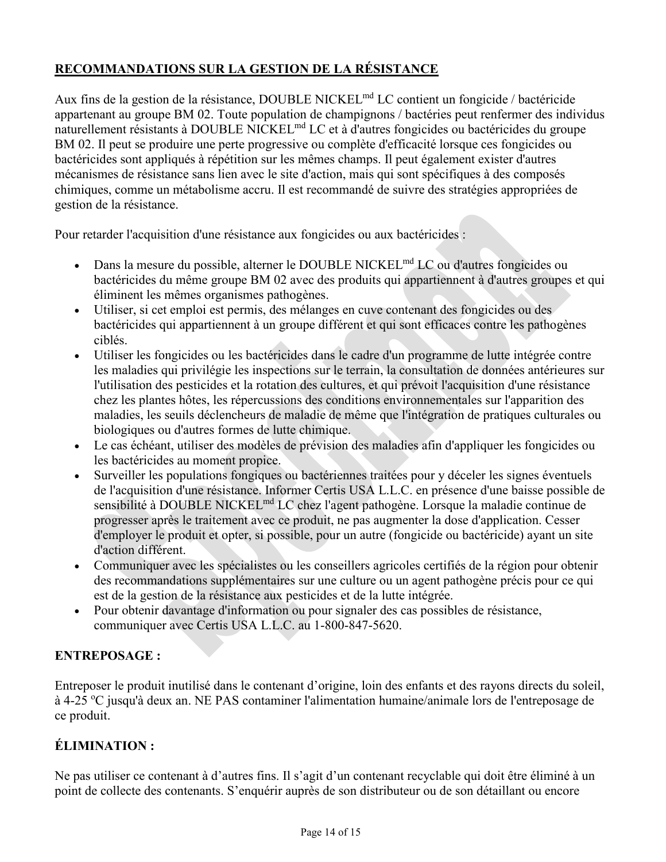## **RECOMMANDATIONS SUR LA GESTION DE LA RÉSISTANCE**

Aux fins de la gestion de la résistance, DOUBLE NICKEL<sup>md</sup> LC contient un fongicide / bactéricide appartenant au groupe BM 02. Toute population de champignons / bactéries peut renfermer des individus naturellement résistants à DOUBLE NICKEL<sup>md</sup> LC et à d'autres fongicides ou bactéricides du groupe BM 02. Il peut se produire une perte progressive ou complète d'efficacité lorsque ces fongicides ou bactéricides sont appliqués à répétition sur les mêmes champs. Il peut également exister d'autres mécanismes de résistance sans lien avec le site d'action, mais qui sont spécifiques à des composés chimiques, comme un métabolisme accru. Il est recommandé de suivre des stratégies appropriées de gestion de la résistance.

Pour retarder l'acquisition d'une résistance aux fongicides ou aux bactéricides :

- Dans la mesure du possible, alterner le DOUBLE NICKEL<sup>md</sup> LC ou d'autres fongicides ou bactéricides du même groupe BM 02 avec des produits qui appartiennent à d'autres groupes et qui éliminent les mêmes organismes pathogènes.
- Utiliser, si cet emploi est permis, des mélanges en cuve contenant des fongicides ou des bactéricides qui appartiennent à un groupe différent et qui sont efficaces contre les pathogènes ciblés.
- Utiliser les fongicides ou les bactéricides dans le cadre d'un programme de lutte intégrée contre les maladies qui privilégie les inspections sur le terrain, la consultation de données antérieures sur l'utilisation des pesticides et la rotation des cultures, et qui prévoit l'acquisition d'une résistance chez les plantes hôtes, les répercussions des conditions environnementales sur l'apparition des maladies, les seuils déclencheurs de maladie de même que l'intégration de pratiques culturales ou biologiques ou d'autres formes de lutte chimique.
- Le cas échéant, utiliser des modèles de prévision des maladies afin d'appliquer les fongicides ou les bactéricides au moment propice.
- Surveiller les populations fongiques ou bactériennes traitées pour y déceler les signes éventuels de l'acquisition d'une résistance. Informer Certis USA L.L.C. en présence d'une baisse possible de sensibilité à DOUBLE NICKEL<sup>md</sup> LC chez l'agent pathogène. Lorsque la maladie continue de progresser après le traitement avec ce produit, ne pas augmenter la dose d'application. Cesser d'employer le produit et opter, si possible, pour un autre (fongicide ou bactéricide) ayant un site d'action différent.
- Communiquer avec les spécialistes ou les conseillers agricoles certifiés de la région pour obtenir des recommandations supplémentaires sur une culture ou un agent pathogène précis pour ce qui est de la gestion de la résistance aux pesticides et de la lutte intégrée.
- Pour obtenir davantage d'information ou pour signaler des cas possibles de résistance, communiquer avec Certis USA L.L.C. au 1-800-847-5620.

## **ENTREPOSAGE :**

Entreposer le produit inutilisé dans le contenant d'origine, loin des enfants et des rayons directs du soleil, à 4-25 °C jusqu'à deux an. NE PAS contaminer l'alimentation humaine/animale lors de l'entreposage de ce produit.

## **ÉLIMINATION :**

Ne pas utiliser ce contenant à d'autres fins. Il s'agit d'un contenant recyclable qui doit être éliminé à un point de collecte des contenants. S'enquérir auprès de son distributeur ou de son détaillant ou encore